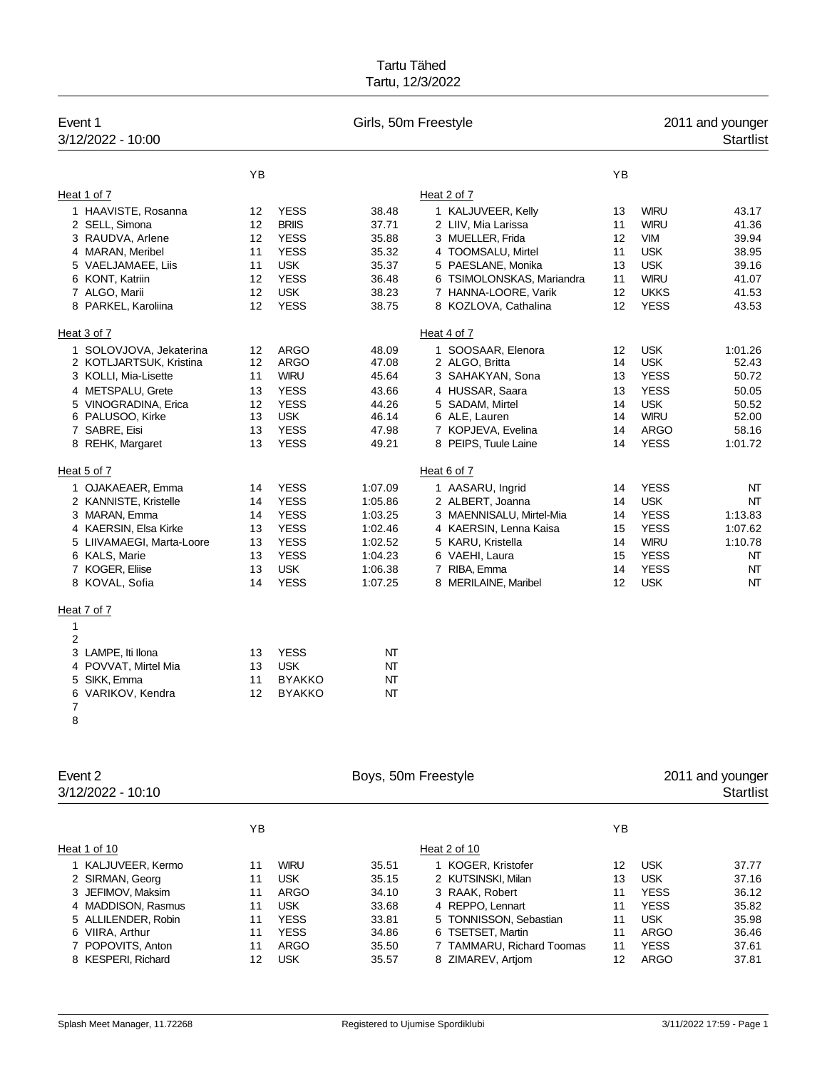| Event 1<br>3/12/2022 - 10:00           |          |                            | Girls, 50m Freestyle |                                              |          |                            | 2011 and younger<br><b>Startlist</b> |
|----------------------------------------|----------|----------------------------|----------------------|----------------------------------------------|----------|----------------------------|--------------------------------------|
|                                        | YB       |                            |                      |                                              | YB       |                            |                                      |
| Heat 1 of 7                            |          |                            |                      | Heat 2 of 7                                  |          |                            |                                      |
| 1 HAAVISTE, Rosanna                    | 12       | <b>YESS</b>                | 38.48                | 1 KALJUVEER, Kelly                           | 13       | <b>WIRU</b>                | 43.17                                |
| 2 SELL, Simona                         | 12       | <b>BRIIS</b>               | 37.71                | 2 LIIV, Mia Larissa                          | 11       | <b>WIRU</b>                | 41.36                                |
| 3 RAUDVA, Arlene                       | 12       | <b>YESS</b>                | 35.88                | 3 MUELLER, Frida                             | 12       | <b>VIM</b>                 | 39.94                                |
| 4 MARAN, Meribel                       | 11       | <b>YESS</b>                | 35.32                | 4 TOOMSALU, Mirtel                           | 11       | <b>USK</b>                 | 38.95                                |
| 5 VAELJAMAEE, Liis                     | 11       | <b>USK</b>                 | 35.37                | 5 PAESLANE, Monika                           | 13       | <b>USK</b>                 | 39.16                                |
| 6 KONT, Katriin                        | 12       | <b>YESS</b>                | 36.48                | 6 TSIMOLONSKAS, Mariandra                    | 11       | <b>WIRU</b>                | 41.07                                |
| 7 ALGO, Marii                          | 12       | <b>USK</b>                 | 38.23                | 7 HANNA-LOORE, Varik                         | 12       | <b>UKKS</b>                | 41.53                                |
| 8 PARKEL, Karoliina                    | 12       | <b>YESS</b>                | 38.75                | 8 KOZLOVA, Cathalina                         | 12       | <b>YESS</b>                | 43.53                                |
| Heat 3 of 7                            |          |                            |                      | Heat 4 of 7                                  |          |                            |                                      |
| 1 SOLOVJOVA, Jekaterina                | 12       | <b>ARGO</b>                | 48.09                | 1 SOOSAAR, Elenora                           | 12       | <b>USK</b>                 | 1:01.26                              |
| 2 KOTLJARTSUK, Kristina                | 12       | <b>ARGO</b>                | 47.08                | 2 ALGO, Britta                               | 14       | <b>USK</b>                 | 52.43                                |
| 3 KOLLI, Mia-Lisette                   | 11       | <b>WIRU</b>                | 45.64                | 3 SAHAKYAN, Sona                             | 13       | <b>YESS</b>                | 50.72                                |
| 4 METSPALU, Grete                      | 13       | <b>YESS</b>                | 43.66                | 4 HUSSAR, Saara                              | 13       | <b>YESS</b>                | 50.05                                |
| 5 VINOGRADINA, Erica                   | 12       | <b>YESS</b>                | 44.26                | 5 SADAM, Mirtel                              | 14       | <b>USK</b>                 | 50.52                                |
| 6 PALUSOO, Kirke                       | 13       | <b>USK</b>                 | 46.14                | 6 ALE, Lauren                                | 14       | <b>WIRU</b>                | 52.00                                |
| 7 SABRE, Eisi<br>8 REHK, Margaret      | 13<br>13 | <b>YESS</b><br><b>YESS</b> | 47.98<br>49.21       | 7 KOPJEVA, Evelina<br>8 PEIPS, Tuule Laine   | 14<br>14 | <b>ARGO</b><br><b>YESS</b> | 58.16<br>1:01.72                     |
| Heat 5 of 7                            |          |                            |                      | Heat 6 of 7                                  |          |                            |                                      |
|                                        |          |                            |                      |                                              |          |                            |                                      |
| 1 OJAKAEAER, Emma                      | 14       | <b>YESS</b>                | 1:07.09              | 1 AASARU, Ingrid                             | 14       | <b>YESS</b>                | NT                                   |
| 2 KANNISTE, Kristelle<br>3 MARAN, Emma | 14       | <b>YESS</b><br><b>YESS</b> | 1:05.86              | 2 ALBERT, Joanna<br>3 MAENNISALU, Mirtel-Mia | 14       | <b>USK</b><br><b>YESS</b>  | NT<br>1:13.83                        |
| 4 KAERSIN, Elsa Kirke                  | 14<br>13 | <b>YESS</b>                | 1:03.25<br>1:02.46   | 4 KAERSIN, Lenna Kaisa                       | 14<br>15 | <b>YESS</b>                | 1:07.62                              |
| 5 LIIVAMAEGI, Marta-Loore              | 13       | <b>YESS</b>                | 1:02.52              | 5 KARU, Kristella                            | 14       | <b>WIRU</b>                | 1:10.78                              |
| 6 KALS, Marie                          | 13       | <b>YESS</b>                | 1:04.23              | 6 VAEHI, Laura                               | 15       | <b>YESS</b>                | NT                                   |
| 7 KOGER, Eliise                        | 13       | <b>USK</b>                 | 1:06.38              | 7 RIBA, Emma                                 | 14       | <b>YESS</b>                | NT                                   |
| 8 KOVAL, Sofia                         | 14       | <b>YESS</b>                | 1:07.25              | 8 MERILAINE, Maribel                         | 12       | <b>USK</b>                 | NT                                   |
| Heat 7 of 7                            |          |                            |                      |                                              |          |                            |                                      |
| 1                                      |          |                            |                      |                                              |          |                            |                                      |
| 2                                      |          |                            |                      |                                              |          |                            |                                      |
| 3 LAMPE, Iti Ilona                     | 13       | <b>YESS</b>                | NΤ                   |                                              |          |                            |                                      |
| 4 POVVAT, Mirtel Mia                   | 13       | <b>USK</b>                 | NT                   |                                              |          |                            |                                      |
| 5 SIKK, Emma                           | 11       | <b>BYAKKO</b>              | NT                   |                                              |          |                            |                                      |
| 6 VARIKOV, Kendra                      | 12       | <b>BYAKKO</b>              | NΤ                   |                                              |          |                            |                                      |
| 7<br>8                                 |          |                            |                      |                                              |          |                            |                                      |
|                                        |          |                            |                      |                                              |          |                            |                                      |
| Event 2                                |          |                            | Boys, 50m Freestyle  |                                              |          |                            | 2011 and younger                     |
| 3/12/2022 - 10:10                      |          |                            |                      |                                              |          |                            | <b>Startlist</b>                     |
|                                        | YB       |                            |                      |                                              | YB       |                            |                                      |
|                                        |          |                            |                      |                                              |          |                            |                                      |
| Heat 1 of 10                           |          |                            |                      | Heat 2 of 10                                 |          |                            |                                      |
| 1 KALJUVEER, Kermo                     | 11       | <b>WIRU</b>                | 35.51                | 1 KOGER, Kristofer                           | 12       | <b>USK</b>                 | 37.77                                |
| 2 SIRMAN, Georg                        | 11       | <b>USK</b>                 | 35.15                | 2 KUTSINSKI, Milan                           | 13       | <b>USK</b>                 | 37.16                                |
| 3 JEFIMOV, Maksim                      | 11       | ARGO                       | 34.10                | 3 RAAK, Robert                               | 11       | <b>YESS</b>                | 36.12                                |
| 4 MADDISON, Rasmus                     | 11       | <b>USK</b>                 | 33.68                | 4 REPPO, Lennart                             | 11       | <b>YESS</b>                | 35.82                                |
| 5 ALLILENDER, Robin                    | 11       | <b>YESS</b>                | 33.81                | 5 TONNISSON, Sebastian                       | 11       | <b>USK</b>                 | 35.98                                |
| 6 VIIRA, Arthur                        | 11       | <b>YESS</b>                | 34.86                | 6 TSETSET, Martin                            | 11       | <b>ARGO</b>                | 36.46                                |
| 7 POPOVITS, Anton                      | 11       | <b>ARGO</b>                | 35.50                | 7 TAMMARU, Richard Toomas                    | 11       | <b>YESS</b>                | 37.61                                |
| 8 KESPERI, Richard                     | 12       | <b>USK</b>                 | 35.57                | 8 ZIMAREV, Artjom                            | 12       | <b>ARGO</b>                | 37.81                                |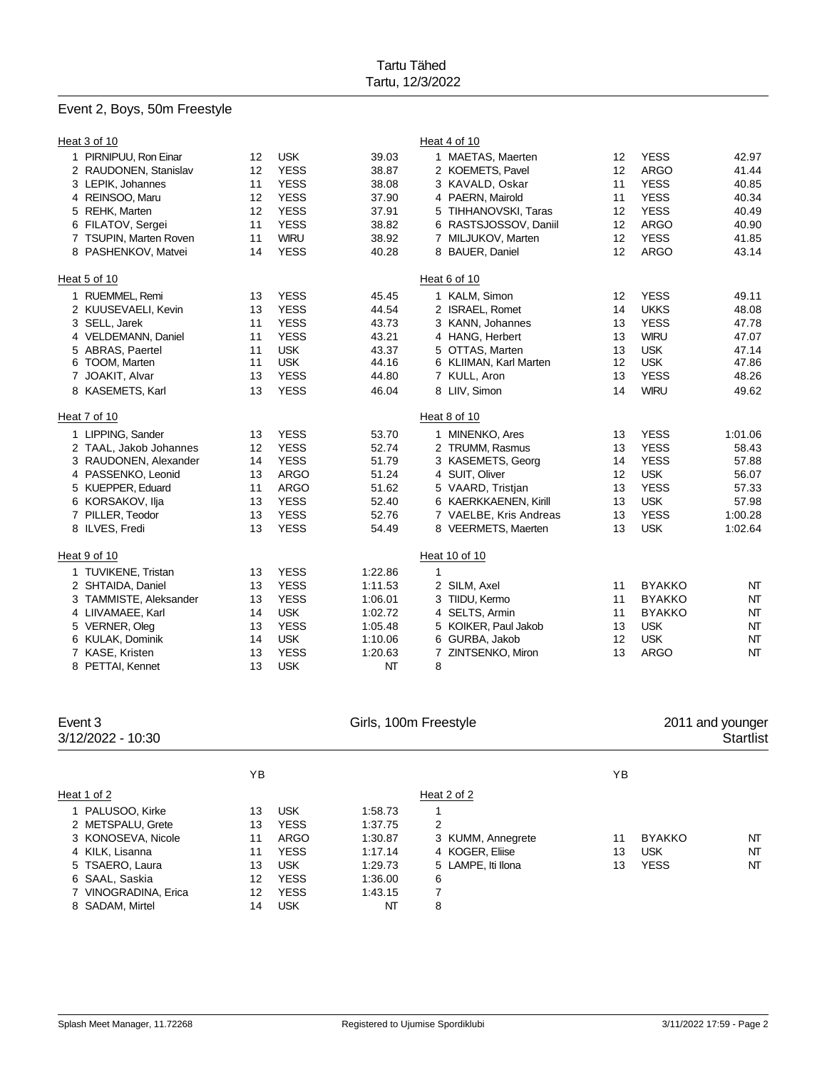# Event 2, Boys, 50m Freestyle

|    | Heat 3 of 10           |    |             |         |   | Heat 4 of 10           |    |               |         |
|----|------------------------|----|-------------|---------|---|------------------------|----|---------------|---------|
|    | 1 PIRNIPUU, Ron Einar  | 12 | <b>USK</b>  | 39.03   |   | 1 MAETAS, Maerten      | 12 | <b>YESS</b>   | 42.97   |
|    | 2 RAUDONEN, Stanislav  | 12 | <b>YESS</b> | 38.87   |   | 2 KOEMETS, Pavel       | 12 | <b>ARGO</b>   | 41.44   |
|    | 3 LEPIK, Johannes      | 11 | <b>YESS</b> | 38.08   |   | 3 KAVALD, Oskar        | 11 | <b>YESS</b>   | 40.85   |
|    | 4 REINSOO, Maru        | 12 | <b>YESS</b> | 37.90   |   | 4 PAERN, Mairold       | 11 | <b>YESS</b>   | 40.34   |
|    | 5 REHK, Marten         | 12 | <b>YESS</b> | 37.91   |   | 5 TIHHANOVSKI, Taras   | 12 | <b>YESS</b>   | 40.49   |
|    | 6 FILATOV, Sergei      | 11 | <b>YESS</b> | 38.82   |   | 6 RASTSJOSSOV, Daniil  | 12 | <b>ARGO</b>   | 40.90   |
|    | 7 TSUPIN, Marten Roven | 11 | <b>WIRU</b> | 38.92   |   | 7 MILJUKOV, Marten     | 12 | <b>YESS</b>   | 41.85   |
|    | 8 PASHENKOV, Matvei    | 14 | <b>YESS</b> | 40.28   |   | 8 BAUER, Daniel        | 12 | <b>ARGO</b>   | 43.14   |
|    | Heat 5 of 10           |    |             |         |   | Heat 6 of 10           |    |               |         |
| 1. | RUEMMEL, Remi          | 13 | <b>YESS</b> | 45.45   |   | 1 KALM, Simon          | 12 | <b>YESS</b>   | 49.11   |
|    | 2 KUUSEVAELI, Kevin    | 13 | <b>YESS</b> | 44.54   |   | 2 ISRAEL, Romet        | 14 | <b>UKKS</b>   | 48.08   |
|    | 3 SELL, Jarek          | 11 | <b>YESS</b> | 43.73   |   | 3 KANN, Johannes       | 13 | <b>YESS</b>   | 47.78   |
|    | 4 VELDEMANN, Daniel    | 11 | <b>YESS</b> | 43.21   |   | 4 HANG, Herbert        | 13 | <b>WIRU</b>   | 47.07   |
|    | 5 ABRAS, Paertel       | 11 | <b>USK</b>  | 43.37   |   | 5 OTTAS, Marten        | 13 | <b>USK</b>    | 47.14   |
|    | 6 TOOM, Marten         | 11 | <b>USK</b>  | 44.16   |   | 6 KLIIMAN, Karl Marten | 12 | <b>USK</b>    | 47.86   |
|    | 7 JOAKIT, Alvar        | 13 | <b>YESS</b> | 44.80   |   | 7 KULL, Aron           | 13 | <b>YESS</b>   | 48.26   |
|    | 8 KASEMETS, Karl       | 13 | <b>YESS</b> | 46.04   |   | 8 LIIV, Simon          | 14 | <b>WIRU</b>   | 49.62   |
|    | Heat 7 of 10           |    |             |         |   | Heat 8 of 10           |    |               |         |
|    | 1 LIPPING, Sander      | 13 | <b>YESS</b> | 53.70   |   | 1 MINENKO, Ares        | 13 | <b>YESS</b>   | 1:01.06 |
|    | 2 TAAL, Jakob Johannes | 12 | <b>YESS</b> | 52.74   |   | 2 TRUMM, Rasmus        | 13 | <b>YESS</b>   | 58.43   |
|    | 3 RAUDONEN, Alexander  | 14 | <b>YESS</b> | 51.79   |   | 3 KASEMETS, Georg      | 14 | <b>YESS</b>   | 57.88   |
|    | 4 PASSENKO, Leonid     | 13 | <b>ARGO</b> | 51.24   |   | 4 SUIT, Oliver         | 12 | <b>USK</b>    | 56.07   |
|    | 5 KUEPPER, Eduard      | 11 | <b>ARGO</b> | 51.62   |   | 5 VAARD, Tristjan      | 13 | <b>YESS</b>   | 57.33   |
|    | 6 KORSAKOV, Ilja       | 13 | <b>YESS</b> | 52.40   |   | 6 KAERKKAENEN, Kirill  | 13 | <b>USK</b>    | 57.98   |
|    | 7 PILLER, Teodor       | 13 | <b>YESS</b> | 52.76   |   | 7 VAELBE, Kris Andreas | 13 | <b>YESS</b>   | 1:00.28 |
|    | 8 ILVES, Fredi         | 13 | <b>YESS</b> | 54.49   |   | 8 VEERMETS, Maerten    | 13 | <b>USK</b>    | 1:02.64 |
|    | Heat 9 of 10           |    |             |         |   | Heat 10 of 10          |    |               |         |
|    | 1 TUVIKENE, Tristan    | 13 | <b>YESS</b> | 1:22.86 | 1 |                        |    |               |         |
|    | 2 SHTAIDA, Daniel      | 13 | <b>YESS</b> | 1:11.53 |   | 2 SILM, Axel           | 11 | <b>BYAKKO</b> | NT      |
|    | 3 TAMMISTE, Aleksander | 13 | <b>YESS</b> | 1:06.01 |   | 3 TIIDU, Kermo         | 11 | <b>BYAKKO</b> | NT      |
|    | 4 LIIVAMAEE, Karl      | 14 | <b>USK</b>  | 1:02.72 |   | 4 SELTS, Armin         | 11 | <b>BYAKKO</b> | NT      |
|    | 5 VERNER, Oleg         | 13 | <b>YESS</b> | 1:05.48 |   | 5 KOIKER, Paul Jakob   | 13 | <b>USK</b>    | NT      |
|    | 6 KULAK, Dominik       | 14 | <b>USK</b>  | 1:10.06 |   | 6 GURBA, Jakob         | 12 | <b>USK</b>    | NT      |
|    | 7 KASE, Kristen        | 13 | <b>YESS</b> | 1:20.63 | 7 | ZINTSENKO, Miron       | 13 | <b>ARGO</b>   | NT      |
|    | 8 PETTAI, Kennet       | 13 | <b>USK</b>  | NT      | 8 |                        |    |               |         |

| Event 3<br>3/12/2022 - 10:30 |    |             | Girls, 100m Freestyle |                    |    | 2011 and younger<br><b>Startlist</b> |    |
|------------------------------|----|-------------|-----------------------|--------------------|----|--------------------------------------|----|
|                              | YΒ |             |                       |                    | ΥB |                                      |    |
| Heat 1 of 2                  |    |             |                       | Heat 2 of 2        |    |                                      |    |
| 1 PALUSOO, Kirke             | 13 | <b>USK</b>  | 1:58.73               |                    |    |                                      |    |
| 2 METSPALU, Grete            | 13 | <b>YESS</b> | 1:37.75               | 2                  |    |                                      |    |
| 3 KONOSEVA, Nicole           | 11 | ARGO        | 1:30.87               | 3 KUMM, Annegrete  | 11 | <b>BYAKKO</b>                        | NT |
| 4 KILK, Lisanna              | 11 | <b>YESS</b> | 1.17.14               | 4 KOGER, Eliise    | 13 | <b>USK</b>                           | NΤ |
| 5 TSAERO, Laura              | 13 | <b>USK</b>  | 1.29.73               | 5 LAMPE. Iti Ilona | 13 | <b>YESS</b>                          | NT |
| 6 SAAL, Saskia               | 12 | <b>YESS</b> | 1:36.00               | 6                  |    |                                      |    |
| 7 VINOGRADINA, Erica         | 12 | <b>YESS</b> | 1:43.15               | 7                  |    |                                      |    |
| 8 SADAM, Mirtel              | 14 | <b>USK</b>  | NΤ                    | 8                  |    |                                      |    |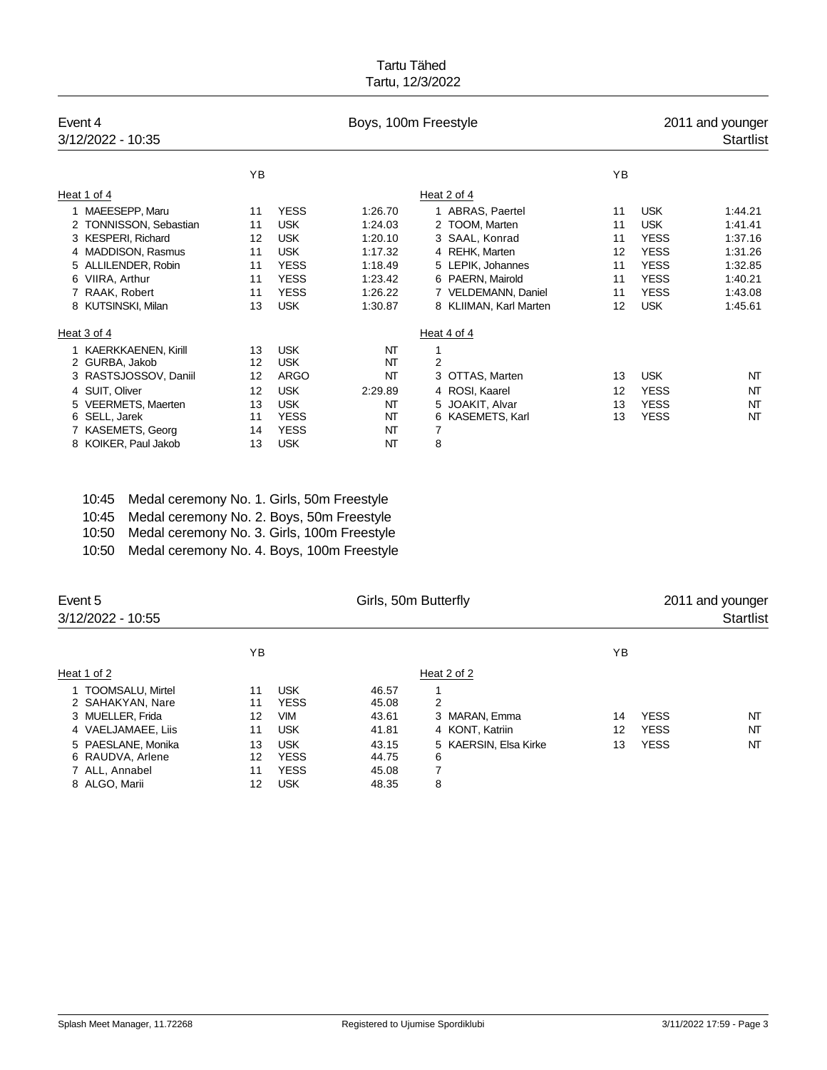| Event 4<br>3/12/2022 - 10:35 |    |             | Boys, 100m Freestyle |                        |    |             | 2011 and younger<br><b>Startlist</b> |
|------------------------------|----|-------------|----------------------|------------------------|----|-------------|--------------------------------------|
|                              | YB |             |                      |                        | YB |             |                                      |
| Heat 1 of 4                  |    |             |                      | Heat 2 of 4            |    |             |                                      |
| 1 MAEESEPP, Maru             | 11 | <b>YESS</b> | 1:26.70              | 1 ABRAS, Paertel       | 11 | <b>USK</b>  | 1:44.21                              |
| 2 TONNISSON, Sebastian       | 11 | <b>USK</b>  | 1:24.03              | 2 TOOM, Marten         | 11 | <b>USK</b>  | 1:41.41                              |
| 3 KESPERI, Richard           | 12 | <b>USK</b>  | 1:20.10              | 3 SAAL, Konrad         | 11 | <b>YESS</b> | 1:37.16                              |
| 4 MADDISON, Rasmus           | 11 | <b>USK</b>  | 1:17.32              | 4 REHK, Marten         | 12 | <b>YESS</b> | 1:31.26                              |
| 5 ALLILENDER, Robin          | 11 | <b>YESS</b> | 1:18.49              | 5 LEPIK, Johannes      | 11 | <b>YESS</b> | 1:32.85                              |
| VIIRA, Arthur<br>6           | 11 | <b>YESS</b> | 1:23.42              | 6 PAERN, Mairold       | 11 | <b>YESS</b> | 1:40.21                              |
| 7 RAAK, Robert               | 11 | <b>YESS</b> | 1:26.22              | 7 VELDEMANN, Daniel    | 11 | <b>YESS</b> | 1:43.08                              |
| 8 KUTSINSKI, Milan           | 13 | <b>USK</b>  | 1:30.87              | 8 KLIIMAN, Karl Marten | 12 | <b>USK</b>  | 1:45.61                              |
| Heat 3 of 4                  |    |             |                      | Heat 4 of 4            |    |             |                                      |
| 1 KAERKKAENEN, Kirill        | 13 | <b>USK</b>  | NT                   | 1                      |    |             |                                      |
| 2 GURBA, Jakob               | 12 | <b>USK</b>  | NT                   | $\overline{2}$         |    |             |                                      |
| 3 RASTSJOSSOV, Daniil        | 12 | <b>ARGO</b> | NT                   | 3 OTTAS, Marten        | 13 | <b>USK</b>  | NT                                   |
| 4 SUIT, Oliver               | 12 | <b>USK</b>  | 2:29.89              | 4 ROSI, Kaarel         | 12 | <b>YESS</b> | NT                                   |
| 5 VEERMETS, Maerten          | 13 | <b>USK</b>  | NT                   | 5 JOAKIT, Alvar        | 13 | <b>YESS</b> | NT                                   |
| 6 SELL, Jarek                | 11 | <b>YESS</b> | NT                   | 6 KASEMETS, Karl       | 13 | <b>YESS</b> | NT                                   |
| 7 KASEMETS, Georg            | 14 | <b>YESS</b> | NT                   | 7                      |    |             |                                      |
| 8 KOIKER, Paul Jakob         | 13 | <b>USK</b>  | NT                   | 8                      |    |             |                                      |

10:45 Medal ceremony No. 1. Girls, 50m Freestyle 10:45 Medal ceremony No. 2. Boys, 50m Freestyle

10:50 Medal ceremony No. 3. Girls, 100m Freestyle

10:50 Medal ceremony No. 4. Boys, 100m Freestyle

| Event 5<br>3/12/2022 - 10:55                                              |                      |                                                        | Girls, 50m Butterfly             |                                      | 2011 and younger<br><b>Startlist</b> |                            |          |
|---------------------------------------------------------------------------|----------------------|--------------------------------------------------------|----------------------------------|--------------------------------------|--------------------------------------|----------------------------|----------|
|                                                                           | ΥB                   |                                                        |                                  |                                      | ΥB                                   |                            |          |
| Heat 1 of 2                                                               |                      |                                                        |                                  | Heat 2 of 2                          |                                      |                            |          |
| 1 TOOMSALU, Mirtel<br>2 SAHAKYAN, Nare                                    | 11<br>11             | <b>USK</b><br><b>YESS</b>                              | 46.57<br>45.08                   | 2                                    |                                      |                            |          |
| 3 MUELLER, Frida<br>4 VAELJAMAEE, Liis                                    | 12<br>11             | <b>VIM</b><br><b>USK</b>                               | 43.61<br>41.81                   | 3 MARAN, Emma<br>4 KONT, Katriin     | 14<br>12                             | <b>YESS</b><br><b>YESS</b> | NT<br>NT |
| 5 PAESLANE, Monika<br>6 RAUDVA, Arlene<br>7 ALL, Annabel<br>8 ALGO, Marii | 13<br>12<br>11<br>12 | <b>USK</b><br><b>YESS</b><br><b>YESS</b><br><b>USK</b> | 43.15<br>44.75<br>45.08<br>48.35 | 5 KAERSIN, Elsa Kirke<br>6<br>7<br>8 | 13                                   | <b>YESS</b>                | NT       |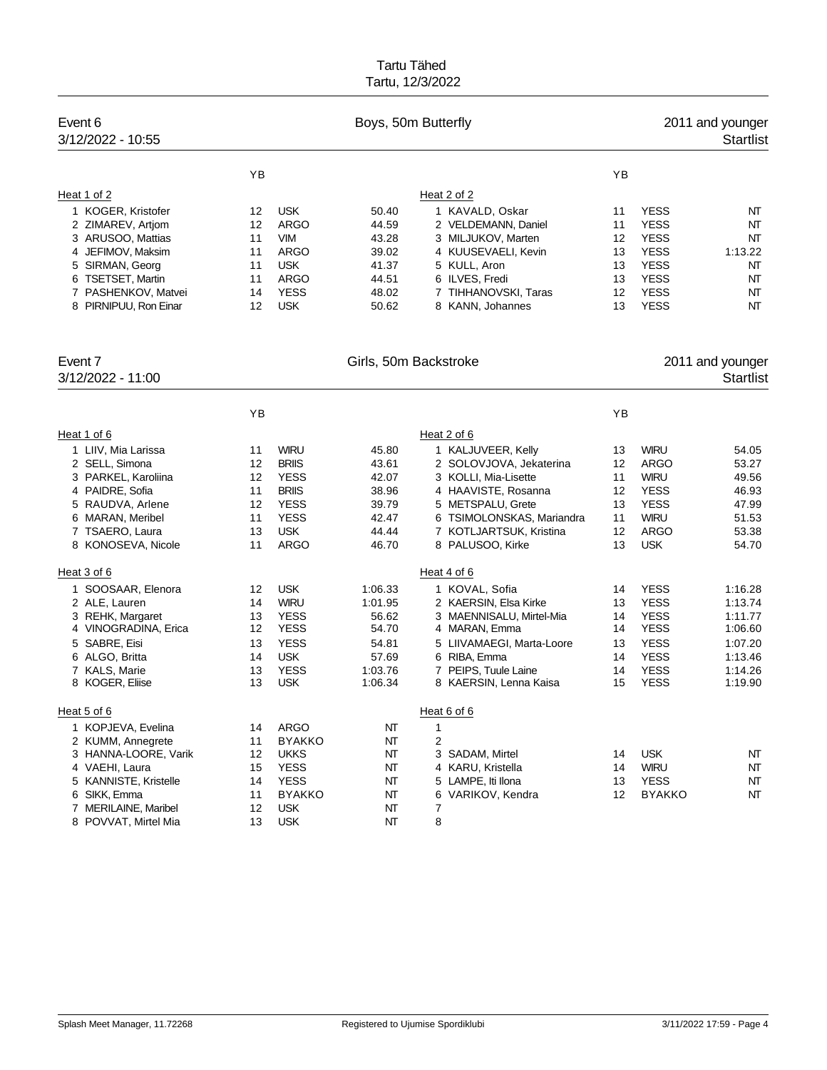| YB<br>YB                                                                                                                                                                                    |                    |
|---------------------------------------------------------------------------------------------------------------------------------------------------------------------------------------------|--------------------|
|                                                                                                                                                                                             |                    |
| Heat 1 of 2<br>Heat 2 of 2                                                                                                                                                                  |                    |
| 1 KOGER, Kristofer<br><b>USK</b><br>1 KAVALD, Oskar<br><b>YESS</b><br>12<br>50.40<br>11                                                                                                     | NΤ                 |
| <b>ARGO</b><br><b>YESS</b><br>2 ZIMAREV, Artjom<br>12<br>44.59<br>2 VELDEMANN, Daniel<br>11                                                                                                 | NΤ                 |
| <b>YESS</b><br>3 ARUSOO, Mattias<br>11<br><b>VIM</b><br>43.28<br>3 MILJUKOV, Marten<br>12                                                                                                   | NΤ                 |
| 4 JEFIMOV, Maksim<br><b>ARGO</b><br>39.02<br>4 KUUSEVAELI, Kevin<br><b>YESS</b><br>11<br>13                                                                                                 | 1:13.22            |
| 41.37<br><b>YESS</b><br>5 SIRMAN, Georg<br>11<br><b>USK</b><br>5 KULL, Aron<br>13                                                                                                           | NΤ                 |
| <b>YESS</b><br><b>ARGO</b><br>6 ILVES, Fredi<br>6 TSETSET, Martin<br>11<br>44.51<br>13                                                                                                      | NΤ                 |
| <b>YESS</b><br><b>YESS</b><br>$12 \overline{ }$<br>7 PASHENKOV, Matvei<br>14<br>48.02<br>7 TIHHANOVSKI, Taras                                                                               | NT                 |
| <b>USK</b><br><b>YESS</b><br>8 PIRNIPUU, Ron Einar<br>12<br>50.62<br>8 KANN, Johannes<br>13                                                                                                 | NΤ                 |
| Event 7<br>Girls, 50m Backstroke                                                                                                                                                            | 2011 and younger   |
| 3/12/2022 - 11:00                                                                                                                                                                           | <b>Startlist</b>   |
| YB<br>YB                                                                                                                                                                                    |                    |
| Heat 1 of 6<br>Heat 2 of 6                                                                                                                                                                  |                    |
| <b>WIRU</b><br>45.80<br><b>WIRU</b><br>1 LIIV, Mia Larissa<br>11<br>1 KALJUVEER, Kelly<br>13                                                                                                | 54.05              |
| 2 SELL, Simona<br><b>BRIIS</b><br>43.61<br><b>ARGO</b><br>12<br>2 SOLOVJOVA, Jekaterina<br>12                                                                                               | 53.27              |
| <b>YESS</b><br>3 PARKEL, Karoliina<br>12<br>3 KOLLI, Mia-Lisette<br><b>WIRU</b><br>42.07<br>11                                                                                              | 49.56              |
| 4 PAIDRE, Sofia<br><b>BRIIS</b><br>38.96<br>4 HAAVISTE, Rosanna<br>12<br><b>YESS</b><br>11                                                                                                  | 46.93              |
| <b>YESS</b><br>39.79<br>5 METSPALU, Grete<br><b>YESS</b><br>5 RAUDVA, Arlene<br>12<br>13                                                                                                    | 47.99              |
| <b>YESS</b><br>6 MARAN, Meribel<br>42.47<br>6 TSIMOLONSKAS, Mariandra<br><b>WIRU</b><br>11<br>11                                                                                            | 51.53              |
| 7 TSAERO, Laura<br><b>USK</b><br>44.44<br>7 KOTLJARTSUK, Kristina<br>12<br><b>ARGO</b><br>13                                                                                                | 53.38              |
| 8 KONOSEVA, Nicole<br><b>ARGO</b><br>46.70<br>8 PALUSOO, Kirke<br><b>USK</b><br>11<br>13                                                                                                    | 54.70              |
| Heat 3 of 6<br>Heat 4 of 6                                                                                                                                                                  |                    |
| <b>USK</b><br>1 SOOSAAR, Elenora<br>12<br>1:06.33<br>1 KOVAL, Sofia<br>14<br><b>YESS</b>                                                                                                    | 1:16.28            |
| <b>YESS</b><br><b>WIRU</b><br>2 ALE, Lauren<br>14<br>1:01.95<br>2 KAERSIN, Elsa Kirke<br>13                                                                                                 | 1:13.74            |
| <b>YESS</b><br><b>YESS</b><br>3 REHK, Margaret<br>56.62<br>3 MAENNISALU, Mirtel-Mia<br>13<br>14                                                                                             | 1:11.77            |
| <b>YESS</b><br><b>YESS</b><br>12<br>54.70<br>4 MARAN, Emma<br>4 VINOGRADINA, Erica<br>14                                                                                                    | 1:06.60            |
| <b>YESS</b><br><b>YESS</b><br>5 SABRE, Eisi<br>13<br>54.81<br>5 LIIVAMAEGI, Marta-Loore<br>13                                                                                               | 1:07.20            |
| <b>YESS</b><br>6 ALGO, Britta<br><b>USK</b><br>57.69<br>6 RIBA, Emma<br>14<br>14                                                                                                            | 1:13.46            |
| <b>YESS</b><br>1:03.76<br>7 PEIPS, Tuule Laine<br><b>YESS</b><br>7 KALS, Marie<br>13<br>14<br><b>YESS</b><br>13<br><b>USK</b><br>1:06.34<br>8 KAERSIN, Lenna Kaisa<br>15<br>8 KOGER, Eliise | 1:14.26<br>1:19.90 |
|                                                                                                                                                                                             |                    |
| Heat 6 of 6<br>Heat 5 of $6$                                                                                                                                                                |                    |
| 1 KOPJEVA, Evelina<br><b>ARGO</b><br>$\mathbf{1}$<br>14<br>NT                                                                                                                               |                    |
| NT<br>2<br>2 KUMM, Annegrete<br>11<br><b>BYAKKO</b>                                                                                                                                         |                    |
| 3 HANNA-LOORE, Varik<br><b>UKKS</b><br>3 SADAM, Mirtel<br><b>USK</b><br>12<br>NΤ<br>14<br><b>YESS</b><br><b>WIRU</b>                                                                        | NΤ                 |
| 4 VAEHI, Laura<br>15<br>NΤ<br>4 KARU, Kristella<br>14<br><b>YESS</b><br><b>YESS</b><br>5 KANNISTE, Kristelle<br>NΤ<br>14<br>5 LAMPE, Iti Ilona<br>13                                        | NT<br>NT           |
| 6 SIKK, Emma<br><b>BYAKKO</b><br>6 VARIKOV, Kendra<br><b>BYAKKO</b><br>11<br>NΤ<br>12                                                                                                       | NΤ                 |
| <b>USK</b><br>7<br>7 MERILAINE, Maribel<br>12<br>NΤ                                                                                                                                         |                    |
| 8<br>8 POVVAT, Mirtel Mia<br><b>USK</b><br>NΤ<br>13                                                                                                                                         |                    |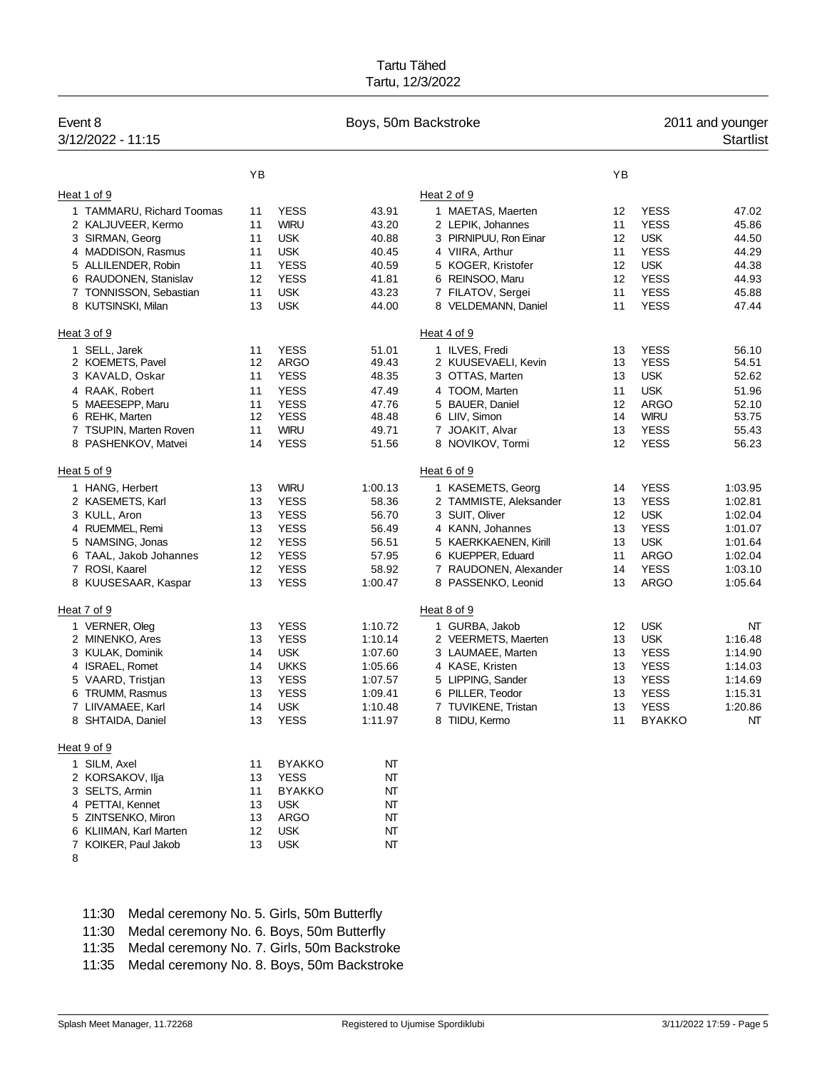| Event 8<br>3/12/2022 - 11:15 |    |               | Boys, 50m Backstroke |                        |    |               | 2011 and younger<br><b>Startlist</b> |
|------------------------------|----|---------------|----------------------|------------------------|----|---------------|--------------------------------------|
|                              | YB |               |                      |                        | YB |               |                                      |
| Heat 1 of 9                  |    |               |                      | Heat 2 of 9            |    |               |                                      |
| 1 TAMMARU, Richard Toomas    | 11 | <b>YESS</b>   | 43.91                | 1 MAETAS, Maerten      | 12 | <b>YESS</b>   | 47.02                                |
| 2 KALJUVEER, Kermo           | 11 | <b>WIRU</b>   | 43.20                | 2 LEPIK, Johannes      | 11 | <b>YESS</b>   | 45.86                                |
| 3 SIRMAN, Georg              | 11 | <b>USK</b>    | 40.88                | 3 PIRNIPUU, Ron Einar  | 12 | <b>USK</b>    | 44.50                                |
| 4 MADDISON, Rasmus           | 11 | <b>USK</b>    | 40.45                | 4 VIIRA, Arthur        | 11 | <b>YESS</b>   | 44.29                                |
| 5 ALLILENDER, Robin          | 11 | <b>YESS</b>   | 40.59                | 5 KOGER, Kristofer     | 12 | <b>USK</b>    | 44.38                                |
| 6 RAUDONEN, Stanislav        | 12 | <b>YESS</b>   | 41.81                | 6 REINSOO, Maru        | 12 | <b>YESS</b>   | 44.93                                |
| 7 TONNISSON, Sebastian       | 11 | <b>USK</b>    | 43.23                | 7 FILATOV, Sergei      | 11 | <b>YESS</b>   | 45.88                                |
| 8 KUTSINSKI, Milan           | 13 | <b>USK</b>    | 44.00                | 8 VELDEMANN, Daniel    | 11 | <b>YESS</b>   | 47.44                                |
| Heat 3 of 9                  |    |               |                      | Heat 4 of 9            |    |               |                                      |
| 1 SELL, Jarek                | 11 | <b>YESS</b>   | 51.01                | 1 ILVES, Fredi         | 13 | <b>YESS</b>   | 56.10                                |
| 2 KOEMETS, Pavel             | 12 | <b>ARGO</b>   | 49.43                | 2 KUUSEVAELI, Kevin    | 13 | <b>YESS</b>   | 54.51                                |
| 3 KAVALD, Oskar              | 11 | <b>YESS</b>   | 48.35                | 3 OTTAS, Marten        | 13 | <b>USK</b>    | 52.62                                |
| 4 RAAK, Robert               | 11 | <b>YESS</b>   | 47.49                | 4 TOOM, Marten         | 11 | <b>USK</b>    | 51.96                                |
| 5 MAEESEPP, Maru             | 11 | <b>YESS</b>   | 47.76                | 5 BAUER, Daniel        | 12 | <b>ARGO</b>   | 52.10                                |
| 6 REHK, Marten               | 12 | <b>YESS</b>   | 48.48                | 6 LIIV, Simon          | 14 | <b>WIRU</b>   | 53.75                                |
| 7 TSUPIN, Marten Roven       | 11 | <b>WIRU</b>   | 49.71                | 7 JOAKIT, Alvar        | 13 | <b>YESS</b>   | 55.43                                |
| 8 PASHENKOV, Matvei          | 14 | <b>YESS</b>   | 51.56                | 8 NOVIKOV, Tormi       | 12 | <b>YESS</b>   | 56.23                                |
| Heat 5 of 9                  |    |               |                      | Heat 6 of 9            |    |               |                                      |
| 1 HANG, Herbert              | 13 | <b>WIRU</b>   | 1:00.13              | 1 KASEMETS, Georg      | 14 | <b>YESS</b>   | 1:03.95                              |
| 2 KASEMETS, Karl             | 13 | <b>YESS</b>   | 58.36                | 2 TAMMISTE, Aleksander | 13 | <b>YESS</b>   | 1:02.81                              |
| 3 KULL, Aron                 | 13 | <b>YESS</b>   | 56.70                | 3 SUIT, Oliver         | 12 | <b>USK</b>    | 1:02.04                              |
| 4 RUEMMEL, Remi              | 13 | <b>YESS</b>   | 56.49                | 4 KANN, Johannes       | 13 | <b>YESS</b>   | 1:01.07                              |
| 5 NAMSING, Jonas             | 12 | <b>YESS</b>   | 56.51                | 5 KAERKKAENEN, Kirill  | 13 | <b>USK</b>    | 1:01.64                              |
| 6 TAAL, Jakob Johannes       | 12 | <b>YESS</b>   | 57.95                | 6 KUEPPER, Eduard      | 11 | <b>ARGO</b>   | 1:02.04                              |
| 7 ROSI, Kaarel               | 12 | <b>YESS</b>   | 58.92                | 7 RAUDONEN, Alexander  | 14 | <b>YESS</b>   | 1:03.10                              |
| 8 KUUSESAAR, Kaspar          | 13 | <b>YESS</b>   | 1:00.47              | 8 PASSENKO, Leonid     | 13 | <b>ARGO</b>   | 1:05.64                              |
| Heat 7 of 9                  |    |               |                      | Heat 8 of 9            |    |               |                                      |
| 1 VERNER, Oleg               | 13 | <b>YESS</b>   | 1:10.72              | 1 GURBA, Jakob         | 12 | <b>USK</b>    | NT                                   |
| 2 MINENKO, Ares              | 13 | <b>YESS</b>   | 1:10.14              | 2 VEERMETS, Maerten    | 13 | <b>USK</b>    | 1:16.48                              |
| 3 KULAK, Dominik             | 14 | <b>USK</b>    | 1:07.60              | 3 LAUMAEE, Marten      | 13 | <b>YESS</b>   | 1:14.90                              |
| 4 ISRAEL, Romet              | 14 | <b>UKKS</b>   | 1:05.66              | 4 KASE, Kristen        | 13 | <b>YESS</b>   | 1:14.03                              |
| 5 VAARD, Tristjan            | 13 | <b>YESS</b>   | 1:07.57              | 5 LIPPING, Sander      | 13 | <b>YESS</b>   | 1:14.69                              |
| 6 TRUMM, Rasmus              | 13 | <b>YESS</b>   | 1:09.41              | 6 PILLER, Teodor       | 13 | <b>YESS</b>   | 1:15.31                              |
| 7 LIIVAMAEE, Karl            | 14 | <b>USK</b>    | 1:10.48              | 7 TUVIKENE, Tristan    | 13 | <b>YESS</b>   | 1:20.86                              |
| 8 SHTAIDA, Daniel            | 13 | <b>YESS</b>   | 1:11.97              | 8 TIIDU, Kermo         | 11 | <b>BYAKKO</b> | NΤ                                   |
| Heat 9 of 9                  |    |               |                      |                        |    |               |                                      |
| 1 SILM, Axel                 | 11 | <b>BYAKKO</b> | NΤ                   |                        |    |               |                                      |
| 2 KORSAKOV, Ilja             | 13 | <b>YESS</b>   | NT                   |                        |    |               |                                      |
| 3 SELTS, Armin               | 11 | <b>BYAKKO</b> | NΤ                   |                        |    |               |                                      |
| 4 PETTAI, Kennet             | 13 | <b>USK</b>    | NT                   |                        |    |               |                                      |
| 5 ZINTSENKO, Miron           | 13 | <b>ARGO</b>   | NΤ                   |                        |    |               |                                      |
| 6 KLIIMAN, Karl Marten       | 12 | <b>USK</b>    | NΤ                   |                        |    |               |                                      |
| 7 KOIKER, Paul Jakob         | 13 | <b>USK</b>    | NΤ                   |                        |    |               |                                      |
| 8                            |    |               |                      |                        |    |               |                                      |

11:30 Medal ceremony No. 5. Girls, 50m Butterfly

11:30 Medal ceremony No. 6. Boys, 50m Butterfly

11:35 Medal ceremony No. 7. Girls, 50m Backstroke

11:35 Medal ceremony No. 8. Boys, 50m Backstroke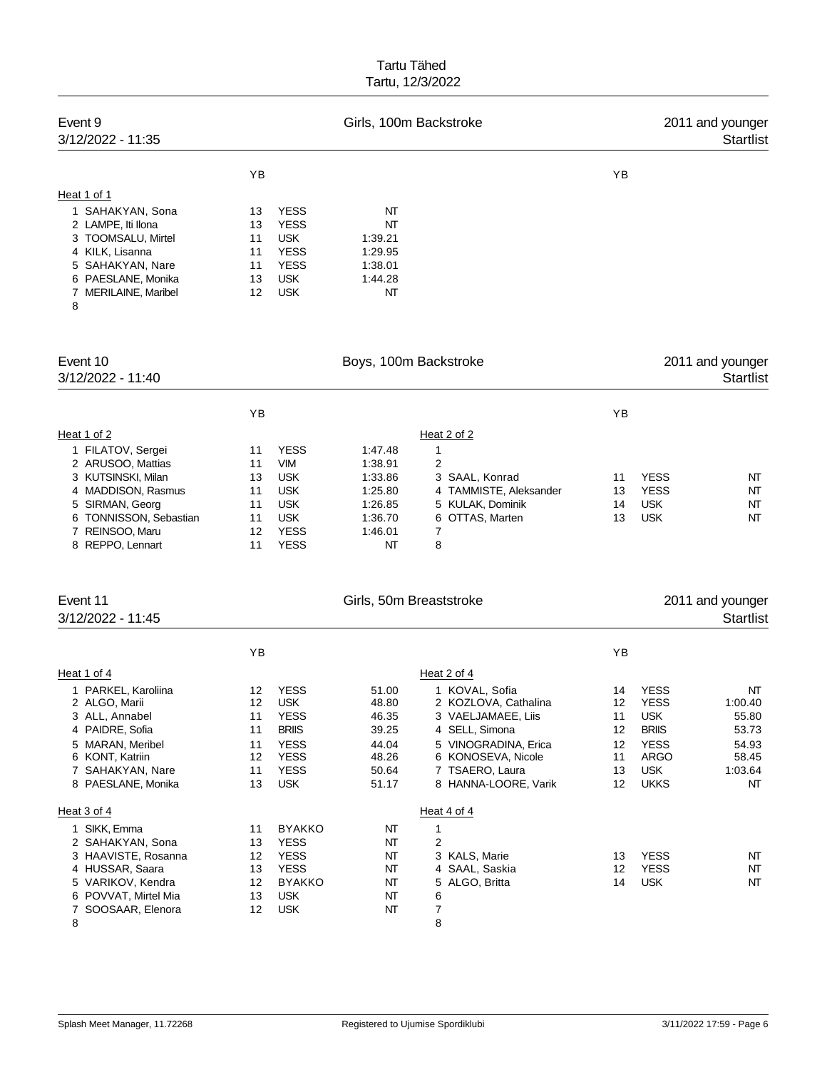| Event 9<br>3/12/2022 - 11:35                                                                                                                           |                                        |                                                                                                    | Girls, 100m Backstroke                                     |                                            |          |                            | 2011 and younger<br><b>Startlist</b> |
|--------------------------------------------------------------------------------------------------------------------------------------------------------|----------------------------------------|----------------------------------------------------------------------------------------------------|------------------------------------------------------------|--------------------------------------------|----------|----------------------------|--------------------------------------|
|                                                                                                                                                        | YB                                     |                                                                                                    |                                                            |                                            | YB       |                            |                                      |
| Heat 1 of 1                                                                                                                                            |                                        |                                                                                                    |                                                            |                                            |          |                            |                                      |
| 1 SAHAKYAN, Sona<br>2 LAMPE, Iti Ilona<br>3 TOOMSALU, Mirtel<br>4 KILK, Lisanna<br>5 SAHAKYAN, Nare<br>6 PAESLANE, Monika<br>7 MERILAINE, Maribel<br>8 | 13<br>13<br>11<br>11<br>11<br>13<br>12 | <b>YESS</b><br><b>YESS</b><br><b>USK</b><br><b>YESS</b><br><b>YESS</b><br><b>USK</b><br><b>USK</b> | NT<br>NT<br>1:39.21<br>1:29.95<br>1:38.01<br>1:44.28<br>NT |                                            |          |                            |                                      |
| Event 10<br>3/12/2022 - 11:40                                                                                                                          |                                        |                                                                                                    | Boys, 100m Backstroke                                      |                                            |          |                            | 2011 and younger<br><b>Startlist</b> |
|                                                                                                                                                        | YB                                     |                                                                                                    |                                                            |                                            | YB       |                            |                                      |
| Heat 1 of 2                                                                                                                                            |                                        |                                                                                                    |                                                            | Heat 2 of 2                                |          |                            |                                      |
| 1 FILATOV, Sergei                                                                                                                                      | 11                                     | <b>YESS</b>                                                                                        | 1:47.48                                                    | $\mathbf{1}$                               |          |                            |                                      |
| 2 ARUSOO, Mattias                                                                                                                                      | 11                                     | <b>VIM</b>                                                                                         | 1:38.91                                                    | $\overline{2}$                             |          |                            |                                      |
| 3 KUTSINSKI, Milan                                                                                                                                     | 13                                     | <b>USK</b>                                                                                         | 1:33.86                                                    | 3 SAAL, Konrad                             | 11       | <b>YESS</b>                | NT                                   |
| 4 MADDISON, Rasmus<br>5 SIRMAN, Georg                                                                                                                  | 11<br>11                               | <b>USK</b><br><b>USK</b>                                                                           | 1:25.80<br>1:26.85                                         | 4 TAMMISTE, Aleksander<br>5 KULAK, Dominik | 13<br>14 | <b>YESS</b><br><b>USK</b>  | NT<br>NT                             |
| 6 TONNISSON, Sebastian                                                                                                                                 | 11                                     | <b>USK</b>                                                                                         | 1:36.70                                                    | 6 OTTAS, Marten                            | 13       | <b>USK</b>                 | NT                                   |
| 7 REINSOO, Maru<br>8 REPPO, Lennart                                                                                                                    | 12<br>11                               | <b>YESS</b><br><b>YESS</b>                                                                         | 1:46.01<br>NT                                              | 7<br>8                                     |          |                            |                                      |
| Event 11                                                                                                                                               |                                        |                                                                                                    | Girls, 50m Breaststroke                                    |                                            |          |                            | 2011 and younger                     |
| 3/12/2022 - 11:45                                                                                                                                      |                                        |                                                                                                    |                                                            |                                            |          |                            | <b>Startlist</b>                     |
|                                                                                                                                                        | YB                                     |                                                                                                    |                                                            |                                            | YB       |                            |                                      |
| Heat 1 of 4                                                                                                                                            |                                        |                                                                                                    |                                                            | Heat 2 of 4                                |          |                            |                                      |
| 1 PARKEL, Karoliina                                                                                                                                    | 12                                     | <b>YESS</b>                                                                                        | 51.00                                                      | 1 KOVAL, Sofia                             | 14       | <b>YESS</b>                | NT                                   |
| 2 ALGO, Marii                                                                                                                                          | 12                                     | <b>USK</b>                                                                                         | 48.80                                                      | 2 KOZLOVA, Cathalina                       | 12       | <b>YESS</b>                | 1:00.40                              |
| 3 ALL, Annabel<br>4 PAIDRE, Sofia                                                                                                                      | 11<br>11                               | <b>YESS</b><br><b>BRIIS</b>                                                                        | 46.35<br>39.25                                             | 3 VAELJAMAEE, Liis<br>4 SELL, Simona       | 11<br>12 | <b>USK</b><br><b>BRIIS</b> | 55.80<br>53.73                       |
| 5 MARAN, Meribel                                                                                                                                       | 11                                     | <b>YESS</b>                                                                                        | 44.04                                                      | 5 VINOGRADINA, Erica                       | 12       | <b>YESS</b>                | 54.93                                |
| 6 KONT, Katriin                                                                                                                                        | 12                                     | <b>YESS</b>                                                                                        | 48.26                                                      | 6 KONOSEVA, Nicole                         | 11       | ARGO                       | 58.45                                |
| 7 SAHAKYAN, Nare                                                                                                                                       | 11                                     | <b>YESS</b>                                                                                        | 50.64                                                      | 7 TSAERO, Laura                            | 13       | <b>USK</b>                 | 1:03.64                              |
| 8 PAESLANE, Monika                                                                                                                                     | 13                                     | <b>USK</b>                                                                                         | 51.17                                                      | 8 HANNA-LOORE, Varik                       | 12       | <b>UKKS</b>                | NΤ                                   |
| Heat 3 of 4                                                                                                                                            |                                        |                                                                                                    |                                                            | Heat 4 of 4                                |          |                            |                                      |
| 1 SIKK, Emma                                                                                                                                           | 11                                     | <b>BYAKKO</b>                                                                                      | NT                                                         | $\mathbf{1}$                               |          |                            |                                      |
| 2 SAHAKYAN, Sona<br>3 HAAVISTE, Rosanna                                                                                                                | 13                                     | <b>YESS</b><br><b>YESS</b>                                                                         | NΤ                                                         | 2<br>3 KALS, Marie                         |          | <b>YESS</b>                |                                      |
| 4 HUSSAR, Saara                                                                                                                                        | 12<br>13                               | <b>YESS</b>                                                                                        | NΤ<br>NΤ                                                   | 4 SAAL, Saskia                             | 13<br>12 | <b>YESS</b>                | NT<br>NΤ                             |
| 5 VARIKOV, Kendra                                                                                                                                      | 12                                     | <b>BYAKKO</b>                                                                                      | NΤ                                                         | 5 ALGO, Britta                             | 14       | <b>USK</b>                 | NΤ                                   |
| 6 POVVAT, Mirtel Mia                                                                                                                                   | 13                                     | <b>USK</b>                                                                                         | NΤ                                                         | 6                                          |          |                            |                                      |
| 7 SOOSAAR, Elenora                                                                                                                                     | 12                                     | <b>USK</b>                                                                                         | NΤ                                                         | 7                                          |          |                            |                                      |
| 8                                                                                                                                                      |                                        |                                                                                                    |                                                            | 8                                          |          |                            |                                      |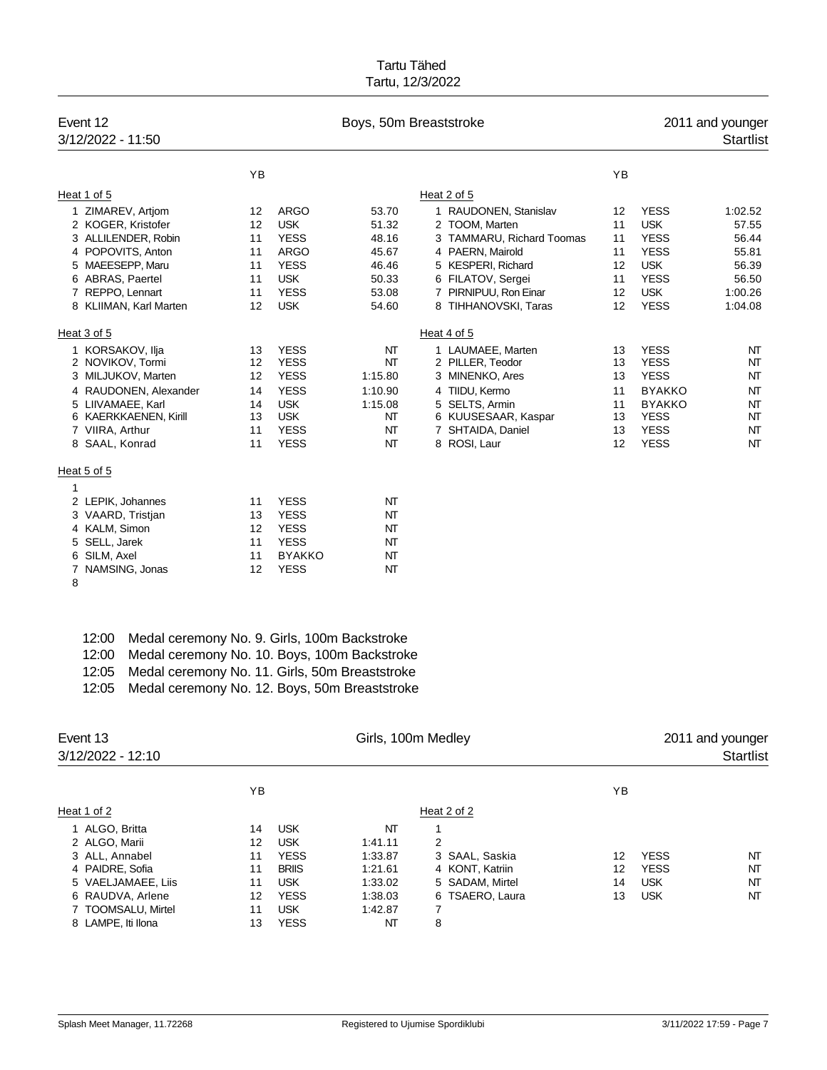| Event 12<br>3/12/2022 - 11:50 |                   |               | Boys, 50m Breaststroke |                           |    | 2011 and younger<br><b>Startlist</b> |         |  |
|-------------------------------|-------------------|---------------|------------------------|---------------------------|----|--------------------------------------|---------|--|
|                               | YB                |               |                        |                           | YB |                                      |         |  |
| Heat 1 of 5                   |                   |               |                        | Heat 2 of 5               |    |                                      |         |  |
| 1 ZIMAREV, Artjom             | $12 \overline{ }$ | <b>ARGO</b>   | 53.70                  | 1 RAUDONEN, Stanislav     | 12 | <b>YESS</b>                          | 1:02.52 |  |
| 2 KOGER, Kristofer            | $12 \overline{ }$ | <b>USK</b>    | 51.32                  | 2 TOOM, Marten            | 11 | <b>USK</b>                           | 57.55   |  |
| 3 ALLILENDER, Robin           | 11                | <b>YESS</b>   | 48.16                  | 3 TAMMARU, Richard Toomas | 11 | <b>YESS</b>                          | 56.44   |  |
| 4 POPOVITS, Anton             | 11                | <b>ARGO</b>   | 45.67                  | 4 PAERN, Mairold          | 11 | <b>YESS</b>                          | 55.81   |  |
| 5 MAEESEPP, Maru              | 11                | <b>YESS</b>   | 46.46                  | 5 KESPERI, Richard        | 12 | <b>USK</b>                           | 56.39   |  |
| 6 ABRAS, Paertel              | 11                | <b>USK</b>    | 50.33                  | 6 FILATOV, Sergei         | 11 | <b>YESS</b>                          | 56.50   |  |
| 7 REPPO, Lennart              | 11                | <b>YESS</b>   | 53.08                  | 7 PIRNIPUU, Ron Einar     | 12 | <b>USK</b>                           | 1:00.26 |  |
| 8 KLIIMAN, Karl Marten        | $12 \overline{ }$ | <b>USK</b>    | 54.60                  | 8 TIHHANOVSKI, Taras      | 12 | <b>YESS</b>                          | 1:04.08 |  |
| Heat 3 of 5                   |                   |               |                        | Heat 4 of 5               |    |                                      |         |  |
| 1 KORSAKOV, Ilja              | 13                | <b>YESS</b>   | NΤ                     | 1 LAUMAEE, Marten         | 13 | <b>YESS</b>                          | NT      |  |
| 2 NOVIKOV, Tormi              | 12                | <b>YESS</b>   | NT                     | 2 PILLER, Teodor          | 13 | <b>YESS</b>                          | NT      |  |
| 3 MILJUKOV, Marten            | 12                | <b>YESS</b>   | 1:15.80                | 3 MINENKO, Ares           | 13 | <b>YESS</b>                          | NT      |  |
| RAUDONEN, Alexander           | 14                | <b>YESS</b>   | 1:10.90                | 4 TIIDU, Kermo            | 11 | <b>BYAKKO</b>                        | NT      |  |
| 5 LIIVAMAEE, Karl             | 14                | <b>USK</b>    | 1:15.08                | 5 SELTS, Armin            | 11 | <b>BYAKKO</b>                        | NT      |  |
| 6 KAERKKAENEN, Kirill         | 13                | <b>USK</b>    | NT                     | 6 KUUSESAAR, Kaspar       | 13 | <b>YESS</b>                          | NT      |  |
| 7 VIIRA, Arthur               | 11                | <b>YESS</b>   | NT                     | 7 SHTAIDA, Daniel         | 13 | <b>YESS</b>                          | NT      |  |
| 8 SAAL, Konrad                | 11                | <b>YESS</b>   | NT                     | 8 ROSI, Laur              | 12 | <b>YESS</b>                          | NT      |  |
| Heat 5 of 5                   |                   |               |                        |                           |    |                                      |         |  |
| 1                             |                   |               |                        |                           |    |                                      |         |  |
| 2 LEPIK, Johannes             | 11                | <b>YESS</b>   | NT                     |                           |    |                                      |         |  |
| 3 VAARD, Tristjan             | 13                | <b>YESS</b>   | NT                     |                           |    |                                      |         |  |
| 4 KALM, Simon                 | 12                | <b>YESS</b>   | NT                     |                           |    |                                      |         |  |
| 5 SELL, Jarek                 | 11                | <b>YESS</b>   | NΤ                     |                           |    |                                      |         |  |
| 6 SILM, Axel                  | 11                | <b>BYAKKO</b> | NT                     |                           |    |                                      |         |  |
| 7 NAMSING, Jonas              | $12 \overline{ }$ | <b>YESS</b>   | NT                     |                           |    |                                      |         |  |
|                               |                   |               |                        |                           |    |                                      |         |  |

| ٧      |   |  |
|--------|---|--|
|        |   |  |
| I<br>I | ٠ |  |

| 12:00 Medal ceremony No. 9. Girls, 100m Backstroke |
|----------------------------------------------------|
| 12:00 Medal ceremony No. 10. Boys, 100m Backstroke |

12:05 Medal ceremony No. 11. Girls, 50m Breaststroke

12:05 Medal ceremony No. 12. Boys, 50m Breaststroke

| Event 13<br>3/12/2022 - 12:10 |    |              | Girls, 100m Medley |                 | 2011 and younger<br><b>Startlist</b> |             |    |
|-------------------------------|----|--------------|--------------------|-----------------|--------------------------------------|-------------|----|
|                               | YB |              |                    |                 | YB                                   |             |    |
| Heat 1 of 2                   |    |              |                    | Heat 2 of 2     |                                      |             |    |
| 1 ALGO, Britta                | 14 | <b>USK</b>   | NΤ                 |                 |                                      |             |    |
| 2 ALGO, Marii                 | 12 | <b>USK</b>   | 1:41.11            | 2               |                                      |             |    |
| 3 ALL, Annabel                | 11 | <b>YESS</b>  | 1:33.87            | 3 SAAL, Saskia  | 12                                   | <b>YESS</b> | NT |
| 4 PAIDRE, Sofia               | 11 | <b>BRIIS</b> | 1:21.61            | 4 KONT, Katriin | 12                                   | <b>YESS</b> | NT |
| 5 VAELJAMAEE, Liis            | 11 | <b>USK</b>   | 1:33.02            | 5 SADAM, Mirtel | 14                                   | <b>USK</b>  | NT |
| 6 RAUDVA, Arlene              | 12 | <b>YESS</b>  | 1:38.03            | 6 TSAERO, Laura | 13                                   | <b>USK</b>  | NT |
| 7 TOOMSALU, Mirtel            | 11 | <b>USK</b>   | 1:42.87            | 7               |                                      |             |    |
| 8 LAMPE. Iti Ilona            | 13 | <b>YESS</b>  | NΤ                 | 8               |                                      |             |    |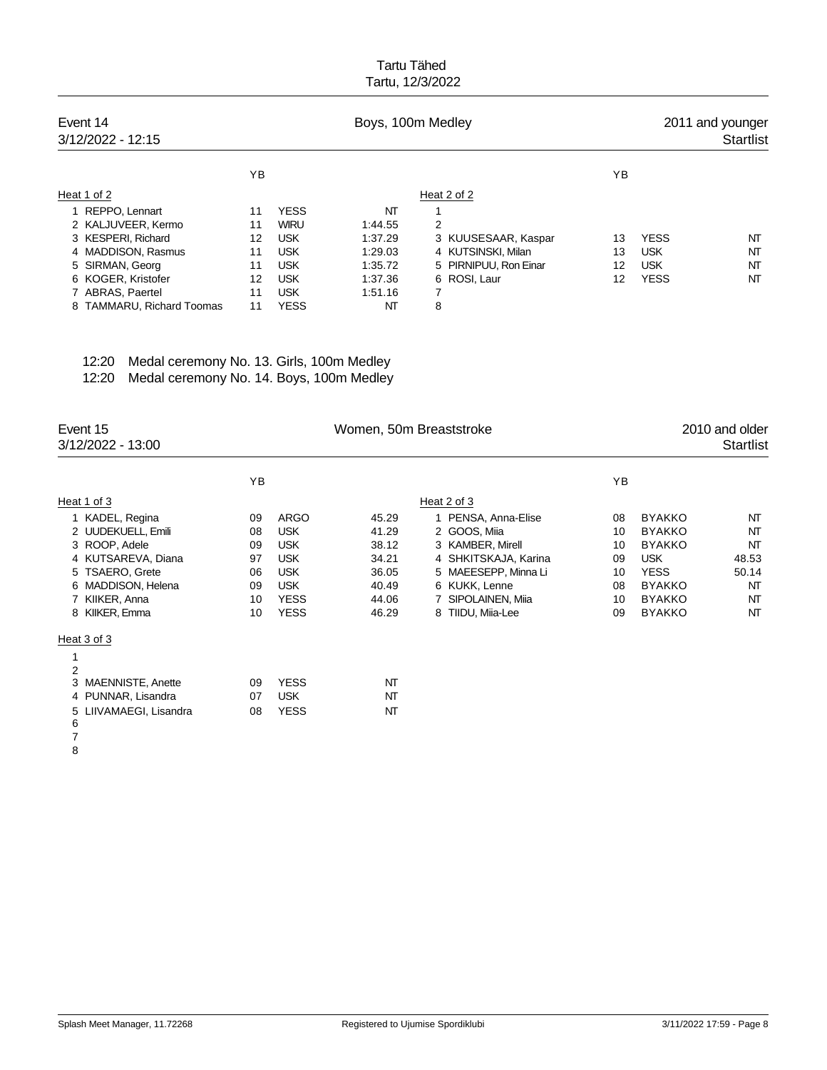| Event 14<br>3/12/2022 - 12:15 | Boys, 100m Medley |             |         |              |                       |                   | 2011 and younger<br><b>Startlist</b> |    |  |
|-------------------------------|-------------------|-------------|---------|--------------|-----------------------|-------------------|--------------------------------------|----|--|
|                               | ΥB                |             |         |              |                       | ΥB                |                                      |    |  |
| Heat 1 of 2                   |                   |             |         | Heat 2 of 2  |                       |                   |                                      |    |  |
| 1 REPPO, Lennart              | 11                | <b>YESS</b> | NΤ      | 1            |                       |                   |                                      |    |  |
| 2 KALJUVEER, Kermo            | 11                | <b>WIRU</b> | 1:44.55 | 2            |                       |                   |                                      |    |  |
| 3 KESPERI, Richard            | 12                | <b>USK</b>  | 1:37.29 |              | 3 KUUSESAAR, Kaspar   | 13                | <b>YESS</b>                          | NT |  |
| 4 MADDISON, Rasmus            | 11                | <b>USK</b>  | 1.29.03 |              | 4 KUTSINSKI, Milan    | 13                | <b>USK</b>                           | NΤ |  |
| 5 SIRMAN, Georg               | 11                | <b>USK</b>  | 1:35.72 |              | 5 PIRNIPUU, Ron Einar | 12                | <b>USK</b>                           | NT |  |
| 6 KOGER, Kristofer            | 12                | <b>USK</b>  | 1:37.36 | 6 ROSI, Laur |                       | $12 \overline{ }$ | <b>YESS</b>                          | NΤ |  |
| 7 ABRAS, Paertel              | 11                | <b>USK</b>  | 1:51.16 | 7            |                       |                   |                                      |    |  |
| 8 TAMMARU, Richard Toomas     | 11                | <b>YESS</b> | NT      | 8            |                       |                   |                                      |    |  |

| 12:20 Medal ceremony No. 13. Girls, 100m Medley |  |
|-------------------------------------------------|--|
|                                                 |  |

12:20 Medal ceremony No. 14. Boys, 100m Medley

| Event 15<br>3/12/2022 - 13:00 |    |             | Women, 50m Breaststroke |                      | 2010 and older<br><b>Startlist</b> |               |       |
|-------------------------------|----|-------------|-------------------------|----------------------|------------------------------------|---------------|-------|
|                               | ΥB |             |                         |                      | YB.                                |               |       |
| Heat 1 of 3                   |    |             |                         | Heat 2 of 3          |                                    |               |       |
| 1 KADEL, Regina               | 09 | ARGO        | 45.29                   | 1 PENSA, Anna-Elise  | 08                                 | <b>BYAKKO</b> | NT    |
| 2 UUDEKUELL, Emili            | 08 | <b>USK</b>  | 41.29                   | 2 GOOS, Miia         | 10                                 | <b>BYAKKO</b> | NT    |
| 3 ROOP, Adele                 | 09 | <b>USK</b>  | 38.12                   | 3 KAMBER, Mirell     | 10                                 | <b>BYAKKO</b> | NT    |
| 4 KUTSAREVA, Diana            | 97 | <b>USK</b>  | 34.21                   | 4 SHKITSKAJA, Karina | 09                                 | <b>USK</b>    | 48.53 |
| 5 TSAERO, Grete               | 06 | <b>USK</b>  | 36.05                   | 5 MAEESEPP, Minna Li | 10                                 | <b>YESS</b>   | 50.14 |
| 6 MADDISON, Helena            | 09 | <b>USK</b>  | 40.49                   | 6 KUKK, Lenne        | 08                                 | <b>BYAKKO</b> | NT    |
| 7 KIIKER, Anna                | 10 | <b>YESS</b> | 44.06                   | 7 SIPOLAINEN, Miia   | 10                                 | <b>BYAKKO</b> | NT    |
| 8 KIIKER, Emma                | 10 | <b>YESS</b> | 46.29                   | 8 TIIDU, Miia-Lee    | 09                                 | <b>BYAKKO</b> | NT    |
| Heat 3 of 3                   |    |             |                         |                      |                                    |               |       |
|                               |    |             |                         |                      |                                    |               |       |
| 2                             |    |             |                         |                      |                                    |               |       |
| 3 MAENNISTE, Anette           | 09 | <b>YESS</b> | NT                      |                      |                                    |               |       |
| 4 PUNNAR, Lisandra            | 07 | <b>USK</b>  | NT                      |                      |                                    |               |       |
| 5 LIIVAMAEGI, Lisandra<br>6   | 08 | <b>YESS</b> | NT                      |                      |                                    |               |       |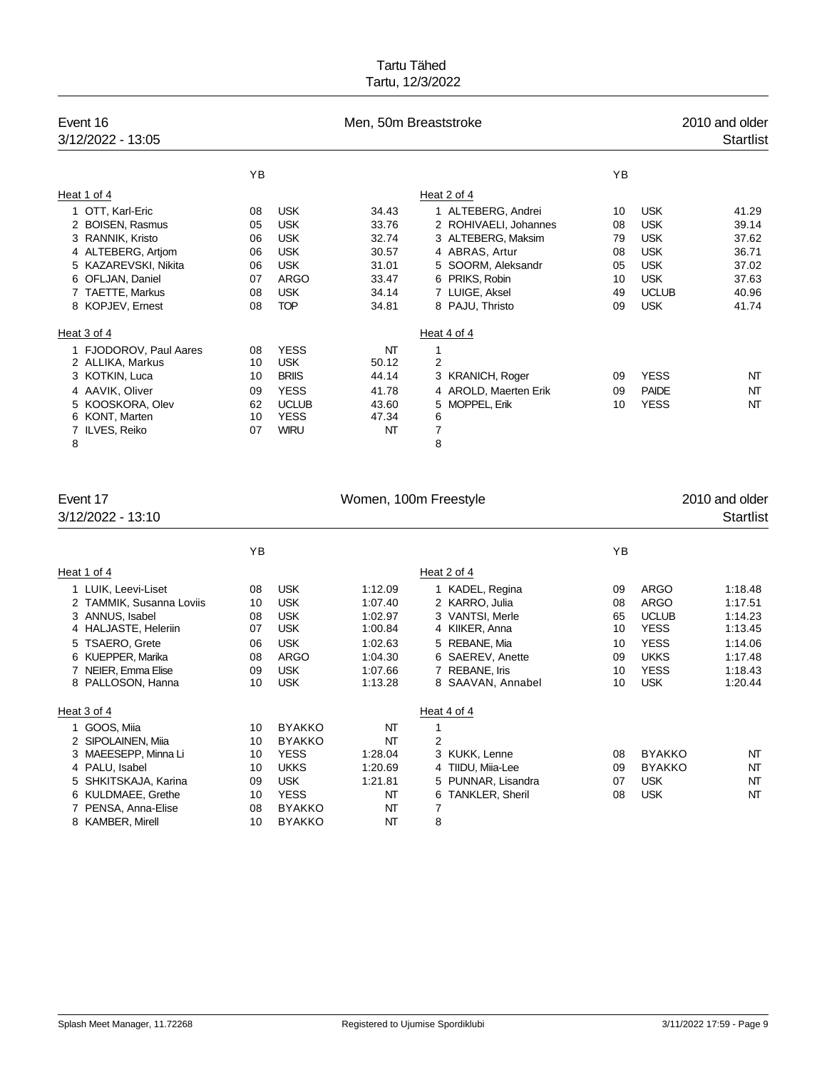| Event 16<br>3/12/2022 - 13:05 |    |              | Men, 50m Breaststroke | 2010 and older<br><b>Startlist</b> |    |              |       |
|-------------------------------|----|--------------|-----------------------|------------------------------------|----|--------------|-------|
|                               | YB |              |                       |                                    | YB |              |       |
| Heat 1 of 4                   |    |              |                       | Heat 2 of 4                        |    |              |       |
| 1 OTT, Karl-Eric              | 08 | <b>USK</b>   | 34.43                 | 1 ALTEBERG, Andrei                 | 10 | <b>USK</b>   | 41.29 |
| 2 BOISEN, Rasmus              | 05 | <b>USK</b>   | 33.76                 | 2 ROHIVAELI, Johannes              | 08 | <b>USK</b>   | 39.14 |
| 3 RANNIK, Kristo              | 06 | <b>USK</b>   | 32.74                 | 3 ALTEBERG, Maksim                 | 79 | <b>USK</b>   | 37.62 |
| 4 ALTEBERG, Artjom            | 06 | <b>USK</b>   | 30.57                 | 4 ABRAS, Artur                     | 08 | <b>USK</b>   | 36.71 |
| 5 KAZAREVSKI, Nikita          | 06 | <b>USK</b>   | 31.01                 | 5 SOORM, Aleksandr                 | 05 | <b>USK</b>   | 37.02 |
| 6 OFLJAN, Daniel              | 07 | <b>ARGO</b>  | 33.47                 | 6 PRIKS, Robin                     | 10 | <b>USK</b>   | 37.63 |
| 7 TAETTE, Markus              | 08 | <b>USK</b>   | 34.14                 | 7 LUIGE, Aksel                     | 49 | <b>UCLUB</b> | 40.96 |
| 8 KOPJEV, Ernest              | 08 | <b>TOP</b>   | 34.81                 | 8 PAJU, Thristo                    | 09 | <b>USK</b>   | 41.74 |
| Heat 3 of 4                   |    |              |                       | Heat 4 of 4                        |    |              |       |
| 1 FJODOROV, Paul Aares        | 08 | <b>YESS</b>  | NΤ                    | 1                                  |    |              |       |
| 2 ALLIKA, Markus              | 10 | <b>USK</b>   | 50.12                 | $\overline{2}$                     |    |              |       |
| 3 KOTKIN, Luca                | 10 | <b>BRIIS</b> | 44.14                 | 3 KRANICH, Roger                   | 09 | <b>YESS</b>  | NT    |
| 4 AAVIK, Oliver               | 09 | <b>YESS</b>  | 41.78                 | 4 AROLD, Maerten Erik              | 09 | <b>PAIDE</b> | NT    |
| 5 KOOSKORA, Olev              | 62 | <b>UCLUB</b> | 43.60                 | 5 MOPPEL, Erik                     | 10 | <b>YESS</b>  | NT    |
| 6 KONT, Marten                | 10 | <b>YESS</b>  | 47.34                 | 6                                  |    |              |       |
| ILVES, Reiko                  | 07 | <b>WIRU</b>  | NT                    | 7                                  |    |              |       |
| 8                             |    |              |                       | 8                                  |    |              |       |

| Event 17<br>Women, 100m Freestyle                                                                                                                                              |                                              |                                                                                                                             |                                                                                      |                                                                                                                                                    | 2010 and older                               |                                                                                                               |                                                                                      |
|--------------------------------------------------------------------------------------------------------------------------------------------------------------------------------|----------------------------------------------|-----------------------------------------------------------------------------------------------------------------------------|--------------------------------------------------------------------------------------|----------------------------------------------------------------------------------------------------------------------------------------------------|----------------------------------------------|---------------------------------------------------------------------------------------------------------------|--------------------------------------------------------------------------------------|
| 3/12/2022 - 13:10                                                                                                                                                              |                                              |                                                                                                                             |                                                                                      |                                                                                                                                                    |                                              |                                                                                                               | <b>Startlist</b>                                                                     |
|                                                                                                                                                                                | YB                                           |                                                                                                                             |                                                                                      |                                                                                                                                                    | YB                                           |                                                                                                               |                                                                                      |
| Heat 1 of 4                                                                                                                                                                    |                                              |                                                                                                                             |                                                                                      | Heat 2 of 4                                                                                                                                        |                                              |                                                                                                               |                                                                                      |
| 1 LUIK, Leevi-Liset<br>2 TAMMIK, Susanna Loviis<br>3 ANNUS, Isabel<br>4 HALJASTE, Heleriin<br>5 TSAERO, Grete<br>6 KUEPPER, Marika<br>7 NEIER, Emma Elise<br>8 PALLOSON, Hanna | 08<br>10<br>08<br>07<br>06<br>08<br>09<br>10 | <b>USK</b><br><b>USK</b><br><b>USK</b><br><b>USK</b><br><b>USK</b><br>ARGO<br><b>USK</b><br><b>USK</b>                      | 1:12.09<br>1:07.40<br>1:02.97<br>1:00.84<br>1:02.63<br>1:04.30<br>1:07.66<br>1:13.28 | 1 KADEL, Regina<br>2 KARRO, Julia<br>3 VANTSI, Merle<br>4 KIIKER, Anna<br>5 REBANE, Mia<br>6 SAEREV, Anette<br>7 REBANE, Iris<br>8 SAAVAN, Annabel | 09<br>08<br>65<br>10<br>10<br>09<br>10<br>10 | ARGO<br><b>ARGO</b><br><b>UCLUB</b><br><b>YESS</b><br><b>YESS</b><br><b>UKKS</b><br><b>YESS</b><br><b>USK</b> | 1:18.48<br>1:17.51<br>1:14.23<br>1:13.45<br>1:14.06<br>1:17.48<br>1:18.43<br>1:20.44 |
| Heat 3 of 4                                                                                                                                                                    |                                              |                                                                                                                             |                                                                                      | Heat 4 of 4                                                                                                                                        |                                              |                                                                                                               |                                                                                      |
| GOOS, Miia<br>2 SIPOLAINEN, Miia<br>3 MAEESEPP, Minna Li<br>4 PALU, Isabel<br>SHKITSKAJA, Karina<br>6 KULDMAEE, Grethe<br>7 PENSA, Anna-Elise<br>8 KAMBER, Mirell              | 10<br>10<br>10<br>10<br>09<br>10<br>08<br>10 | <b>BYAKKO</b><br><b>BYAKKO</b><br><b>YESS</b><br><b>UKKS</b><br><b>USK</b><br><b>YESS</b><br><b>BYAKKO</b><br><b>BYAKKO</b> | NT<br>NΤ<br>1:28.04<br>1:20.69<br>1:21.81<br>NT<br>NT<br>NΤ                          | 2<br>3 KUKK, Lenne<br>4 TIIDU, Miia-Lee<br>5 PUNNAR, Lisandra<br>6 TANKLER, Sheril<br>7<br>8                                                       | 08<br>09<br>07<br>08                         | <b>BYAKKO</b><br><b>BYAKKO</b><br><b>USK</b><br><b>USK</b>                                                    | NT<br>NT<br>NT<br>NT                                                                 |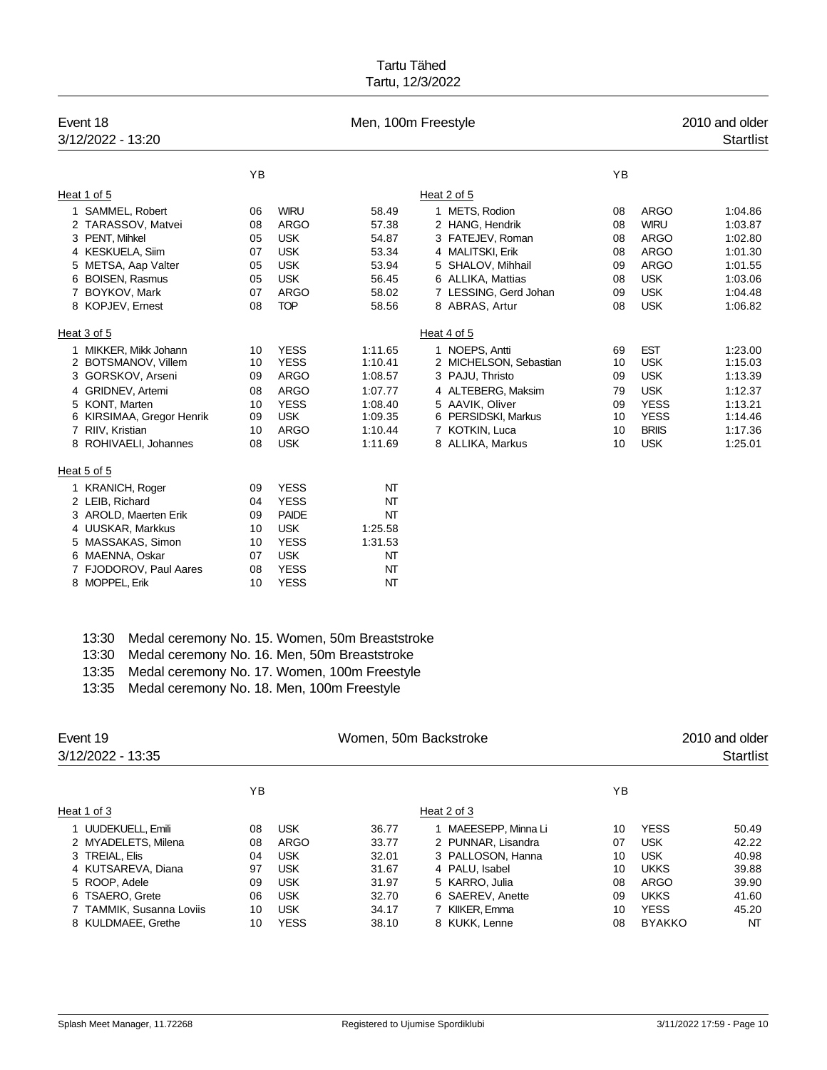| Event 18<br>3/12/2022 - 13:20 |    | Men, 100m Freestyle<br>2010 and older |         |                        |    |              |         |
|-------------------------------|----|---------------------------------------|---------|------------------------|----|--------------|---------|
|                               | YB |                                       |         |                        | YB |              |         |
| Heat 1 of 5                   |    |                                       |         | Heat 2 of 5            |    |              |         |
| 1 SAMMEL, Robert              | 06 | <b>WIRU</b>                           | 58.49   | 1 METS, Rodion         | 08 | <b>ARGO</b>  | 1:04.86 |
| 2 TARASSOV, Matvei            | 08 | <b>ARGO</b>                           | 57.38   | 2 HANG, Hendrik        | 08 | <b>WIRU</b>  | 1:03.87 |
| 3 PENT, Mihkel                | 05 | <b>USK</b>                            | 54.87   | 3 FATEJEV, Roman       | 08 | <b>ARGO</b>  | 1:02.80 |
| 4 KESKUELA, Siim              | 07 | <b>USK</b>                            | 53.34   | 4 MALITSKI, Erik       | 08 | <b>ARGO</b>  | 1:01.30 |
| 5 METSA, Aap Valter           | 05 | <b>USK</b>                            | 53.94   | 5 SHALOV, Mihhail      | 09 | <b>ARGO</b>  | 1:01.55 |
| 6 BOISEN, Rasmus              | 05 | <b>USK</b>                            | 56.45   | 6 ALLIKA, Mattias      | 08 | <b>USK</b>   | 1:03.06 |
| 7 BOYKOV, Mark                | 07 | <b>ARGO</b>                           | 58.02   | 7 LESSING, Gerd Johan  | 09 | <b>USK</b>   | 1:04.48 |
| 8 KOPJEV, Ernest              | 08 | <b>TOP</b>                            | 58.56   | 8 ABRAS, Artur         | 08 | <b>USK</b>   | 1:06.82 |
| Heat 3 of 5                   |    |                                       |         | Heat 4 of 5            |    |              |         |
| 1 MIKKER, Mikk Johann         | 10 | <b>YESS</b>                           | 1:11.65 | 1 NOEPS, Antti         | 69 | <b>EST</b>   | 1:23.00 |
| 2 BOTSMANOV, Villem           | 10 | <b>YESS</b>                           | 1:10.41 | 2 MICHELSON, Sebastian | 10 | <b>USK</b>   | 1:15.03 |
| GORSKOV, Arseni<br>3          | 09 | <b>ARGO</b>                           | 1:08.57 | 3 PAJU, Thristo        | 09 | <b>USK</b>   | 1:13.39 |
| 4 GRIDNEV, Artemi             | 08 | <b>ARGO</b>                           | 1:07.77 | 4 ALTEBERG, Maksim     | 79 | <b>USK</b>   | 1:12.37 |
| 5 KONT, Marten                | 10 | <b>YESS</b>                           | 1:08.40 | 5 AAVIK, Oliver        | 09 | <b>YESS</b>  | 1:13.21 |
| 6 KIRSIMAA, Gregor Henrik     | 09 | <b>USK</b>                            | 1:09.35 | 6 PERSIDSKI, Markus    | 10 | <b>YESS</b>  | 1:14.46 |
| 7 RIIV, Kristian              | 10 | <b>ARGO</b>                           | 1:10.44 | 7 KOTKIN, Luca         | 10 | <b>BRIIS</b> | 1:17.36 |
| 8 ROHIVAELI, Johannes         | 08 | <b>USK</b>                            | 1:11.69 | 8 ALLIKA, Markus       | 10 | <b>USK</b>   | 1:25.01 |
| Heat 5 of 5                   |    |                                       |         |                        |    |              |         |
| 1 KRANICH, Roger              | 09 | <b>YESS</b>                           | NΤ      |                        |    |              |         |
| 2 LEIB, Richard               | 04 | <b>YESS</b>                           | NT      |                        |    |              |         |
| 3 AROLD, Maerten Erik         | 09 | <b>PAIDE</b>                          | NT      |                        |    |              |         |
| 4 UUSKAR, Markkus             | 10 | <b>USK</b>                            | 1:25.58 |                        |    |              |         |
| 5 MASSAKAS, Simon             | 10 | <b>YESS</b>                           | 1:31.53 |                        |    |              |         |
| 6 MAENNA, Oskar               | 07 | <b>USK</b>                            | NT      |                        |    |              |         |
| 7 FJODOROV, Paul Aares        | 08 | <b>YESS</b>                           | NT      |                        |    |              |         |
| 8 MOPPEL, Erik                | 10 | <b>YESS</b>                           | NT      |                        |    |              |         |

13:30 Medal ceremony No. 15. Women, 50m Breaststroke

- 13:30 Medal ceremony No. 16. Men, 50m Breaststroke
- 13:35 Medal ceremony No. 17. Women, 100m Freestyle
- 13:35 Medal ceremony No. 18. Men, 100m Freestyle

| Event 19<br>3/12/2022 - 13:35 |    |             | Women, 50m Backstroke |                      | 2010 and older<br><b>Startlist</b> |               |       |
|-------------------------------|----|-------------|-----------------------|----------------------|------------------------------------|---------------|-------|
|                               | ΥB |             |                       |                      | ΥB                                 |               |       |
| Heat 1 of 3                   |    |             |                       | Heat 2 of 3          |                                    |               |       |
| 1 UUDEKUELL, Emili            | 08 | <b>USK</b>  | 36.77                 | 1 MAEESEPP, Minna Li | 10                                 | <b>YESS</b>   | 50.49 |
| 2 MYADELETS, Milena           | 08 | ARGO        | 33.77                 | 2 PUNNAR, Lisandra   | 07                                 | <b>USK</b>    | 42.22 |
| 3 TREIAL, Elis                | 04 | <b>USK</b>  | 32.01                 | 3 PALLOSON, Hanna    | 10                                 | <b>USK</b>    | 40.98 |
| 4 KUTSAREVA, Diana            | 97 | <b>USK</b>  | 31.67                 | 4 PALU, Isabel       | 10                                 | <b>UKKS</b>   | 39.88 |
| 5 ROOP, Adele                 | 09 | <b>USK</b>  | 31.97                 | 5 KARRO, Julia       | 08                                 | ARGO          | 39.90 |
| 6 TSAERO, Grete               | 06 | <b>USK</b>  | 32.70                 | 6 SAEREV, Anette     | 09                                 | <b>UKKS</b>   | 41.60 |
| 7 TAMMIK, Susanna Loviis      | 10 | <b>USK</b>  | 34.17                 | 7 KIIKER, Emma       | 10                                 | <b>YESS</b>   | 45.20 |
| 8 KULDMAEE, Grethe            | 10 | <b>YESS</b> | 38.10                 | 8 KUKK, Lenne        | 08                                 | <b>BYAKKO</b> | NT    |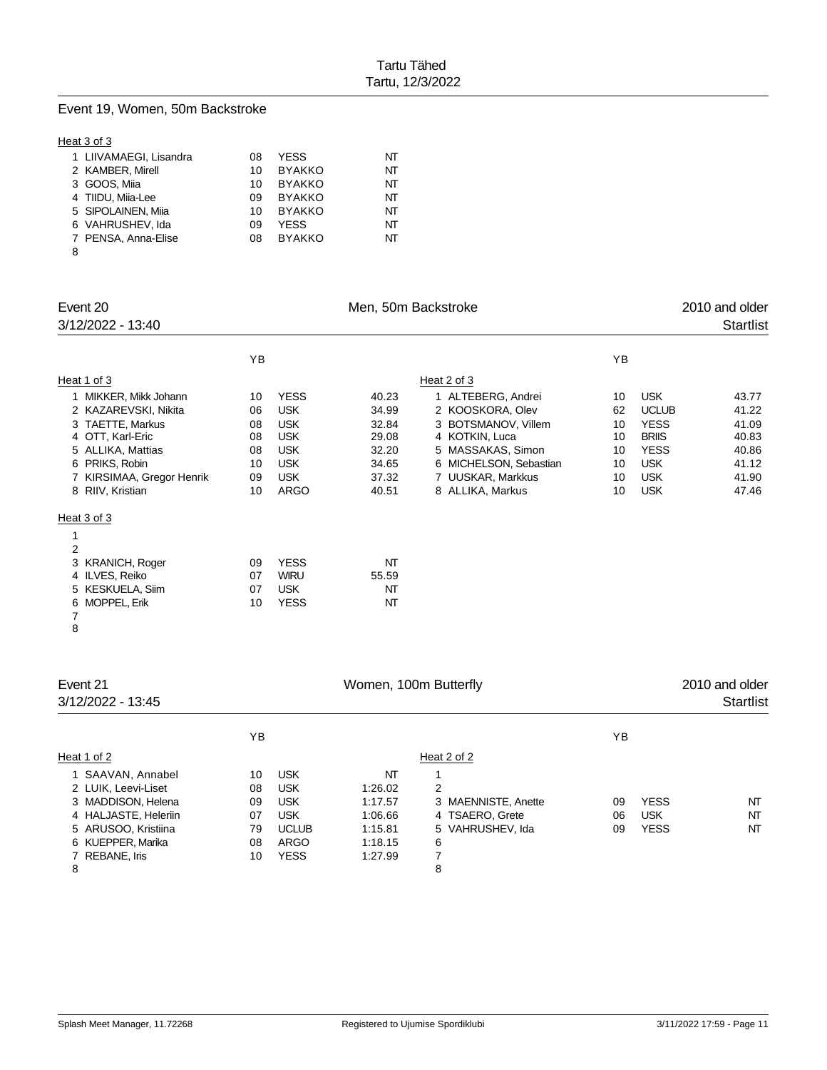### Event 19, Women, 50m Backstroke

#### Heat 3 of 3

| 1 LIIVAMAEGI, Lisandra | 08 | YESS          | NT |
|------------------------|----|---------------|----|
| 2 KAMBER, Mirell       | 10 | <b>BYAKKO</b> | NT |
| 3 GOOS, Miia           | 10 | <b>BYAKKO</b> | ΝТ |
| 4 TIIDU, Miia-Lee      | 09 | <b>BYAKKO</b> | ΝТ |
| 5 SIPOLAINEN, Miia     | 10 | <b>BYAKKO</b> | ΝТ |
| 6 VAHRUSHEV, Ida       | 09 | YESS          | ΝТ |
| 7 PENSA, Anna-Elise    | 08 | <b>BYAKKO</b> | ΝТ |
| 8                      |    |               |    |

| Event 20<br>3/12/2022 - 13:40 |    |             |       |                        | 2010 and older<br><b>Startlist</b> |              |       |
|-------------------------------|----|-------------|-------|------------------------|------------------------------------|--------------|-------|
|                               | YB |             |       |                        | YB                                 |              |       |
| Heat 1 of 3                   |    |             |       | Heat 2 of 3            |                                    |              |       |
| 1 MIKKER, Mikk Johann         | 10 | <b>YESS</b> | 40.23 | 1 ALTEBERG, Andrei     | 10                                 | <b>USK</b>   | 43.77 |
| 2 KAZAREVSKI, Nikita          | 06 | <b>USK</b>  | 34.99 | 2 KOOSKORA, Olev       | 62                                 | <b>UCLUB</b> | 41.22 |
| 3 TAETTE, Markus              | 08 | <b>USK</b>  | 32.84 | 3 BOTSMANOV, Villem    | 10                                 | <b>YESS</b>  | 41.09 |
| 4 OTT, Karl-Eric              | 08 | <b>USK</b>  | 29.08 | 4 KOTKIN, Luca         | 10                                 | <b>BRIIS</b> | 40.83 |
| 5 ALLIKA, Mattias             | 08 | <b>USK</b>  | 32.20 | 5 MASSAKAS, Simon      | 10                                 | <b>YESS</b>  | 40.86 |
| 6 PRIKS, Robin                | 10 | <b>USK</b>  | 34.65 | 6 MICHELSON, Sebastian | 10                                 | <b>USK</b>   | 41.12 |
| 7 KIRSIMAA, Gregor Henrik     | 09 | <b>USK</b>  | 37.32 | 7 UUSKAR, Markkus      | 10                                 | <b>USK</b>   | 41.90 |
| 8 RIIV, Kristian              | 10 | ARGO        | 40.51 | 8 ALLIKA, Markus       | 10                                 | <b>USK</b>   | 47.46 |
| Heat 3 of 3                   |    |             |       |                        |                                    |              |       |
| 1                             |    |             |       |                        |                                    |              |       |
| $\overline{2}$                |    |             |       |                        |                                    |              |       |
| 3 KRANICH, Roger              | 09 | <b>YESS</b> | NT    |                        |                                    |              |       |
| 4 ILVES, Reiko                | 07 | <b>WIRU</b> | 55.59 |                        |                                    |              |       |
| 5 KESKUELA, Siim              | 07 | <b>USK</b>  | NT    |                        |                                    |              |       |
| 6 MOPPEL, Erik                | 10 | <b>YESS</b> | NT    |                        |                                    |              |       |
| 7                             |    |             |       |                        |                                    |              |       |

| Event 21<br>3/12/2022 - 13:45 |    |              | 2010 and older<br>Startlist |                     |    |             |    |
|-------------------------------|----|--------------|-----------------------------|---------------------|----|-------------|----|
|                               | ΥB |              |                             |                     | ΥB |             |    |
| Heat 1 of 2                   |    |              |                             | Heat 2 of 2         |    |             |    |
| 1 SAAVAN, Annabel             | 10 | <b>USK</b>   | NT                          |                     |    |             |    |
| 2 LUIK, Leevi-Liset           | 08 | <b>USK</b>   | 1:26.02                     | $\overline{2}$      |    |             |    |
| 3 MADDISON, Helena            | 09 | <b>USK</b>   | 1:17.57                     | 3 MAENNISTE, Anette | 09 | <b>YESS</b> | NT |
| 4 HALJASTE, Heleriin          | 07 | <b>USK</b>   | 1:06.66                     | 4 TSAERO, Grete     | 06 | <b>USK</b>  | NT |
| 5 ARUSOO, Kristiina           | 79 | <b>UCLUB</b> | 1:15.81                     | 5 VAHRUSHEV, Ida    | 09 | <b>YESS</b> | NT |
| 6 KUEPPER, Marika             | 08 | ARGO         | 1:18.15                     | 6                   |    |             |    |
| 7 REBANE, Iris                | 10 | <b>YESS</b>  | 1:27.99                     |                     |    |             |    |
| 8                             |    |              |                             | 8                   |    |             |    |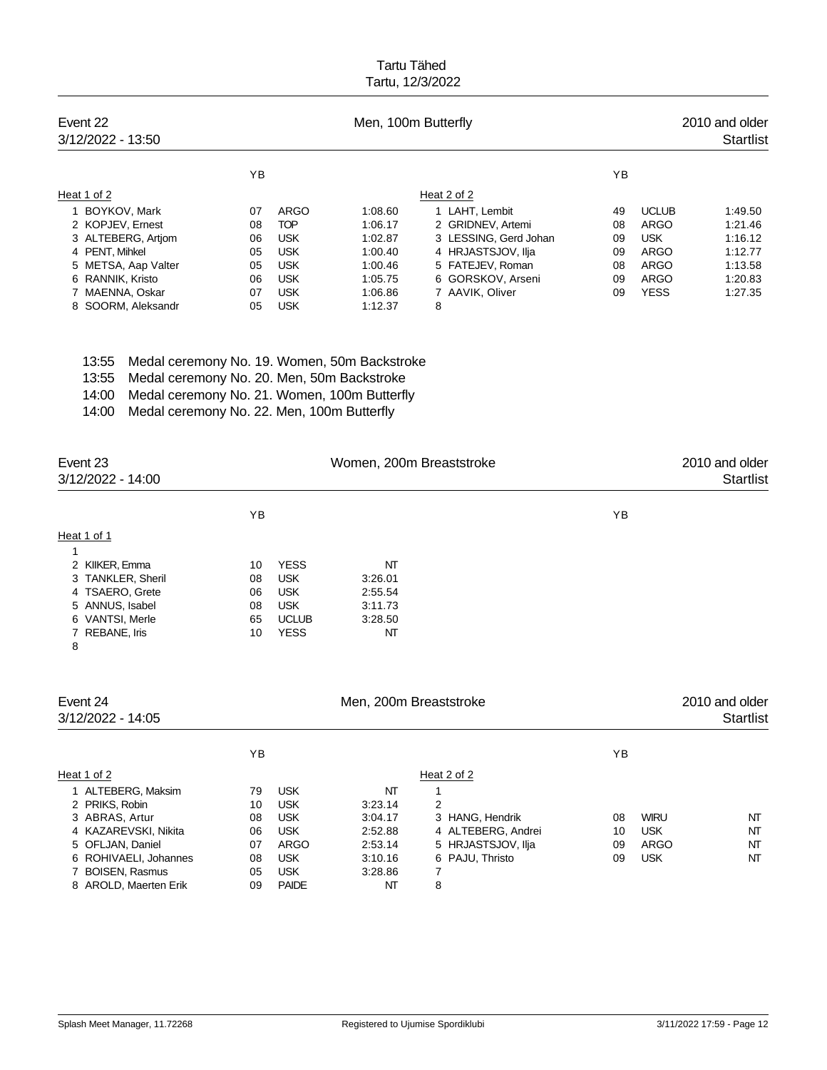| Event 22<br>3/12/2022 - 13:50 |    |            | Men, 100m Butterfly |                       | 2010 and older<br><b>Startlist</b> |              |         |
|-------------------------------|----|------------|---------------------|-----------------------|------------------------------------|--------------|---------|
|                               | ΥB |            |                     |                       | ΥB                                 |              |         |
| Heat 1 of 2                   |    |            |                     | Heat 2 of 2           |                                    |              |         |
| 1 BOYKOV, Mark                | 07 | ARGO       | 1:08.60             | 1 LAHT. Lembit        | 49                                 | <b>UCLUB</b> | 1:49.50 |
| 2 KOPJEV, Ernest              | 08 | <b>TOP</b> | 1:06.17             | 2 GRIDNEV, Artemi     | 08                                 | ARGO         | 1:21.46 |
| 3 ALTEBERG, Artiom            | 06 | <b>USK</b> | 1:02.87             | 3 LESSING, Gerd Johan | 09                                 | <b>USK</b>   | 1:16.12 |
| 4 PENT. Mihkel                | 05 | <b>USK</b> | 1:00.40             | 4 HRJASTSJOV, Ilja    | 09                                 | ARGO         | 1:12.77 |
| 5 METSA, Aap Valter           | 05 | <b>USK</b> | 1:00.46             | 5 FATEJEV, Roman      | 08                                 | ARGO         | 1:13.58 |
| 6 RANNIK, Kristo              | 06 | <b>USK</b> | 1:05.75             | 6 GORSKOV, Arseni     | 09                                 | ARGO         | 1:20.83 |
| 7 MAENNA, Oskar               | 07 | <b>USK</b> | 1:06.86             | 7 AAVIK, Oliver       | 09                                 | <b>YESS</b>  | 1:27.35 |
| 8 SOORM, Aleksandr            | 05 | <b>USK</b> | 1:12.37             | 8                     |                                    |              |         |

- 13:55 Medal ceremony No. 19. Women, 50m Backstroke
- 13:55 Medal ceremony No. 20. Men, 50m Backstroke
- 14:00 Medal ceremony No. 21. Women, 100m Butterfly
- 14:00 Medal ceremony No. 22. Men, 100m Butterfly

| Event 23<br>3/12/2022 - 14:00 |    |              | Women, 200m Breaststroke |    | 2010 and older<br><b>Startlist</b> |
|-------------------------------|----|--------------|--------------------------|----|------------------------------------|
|                               | ΥB |              |                          | ΥB |                                    |
| Heat 1 of 1                   |    |              |                          |    |                                    |
| 1                             |    |              |                          |    |                                    |
| 2 KIIKER, Emma                | 10 | <b>YESS</b>  | NT                       |    |                                    |
| 3 TANKLER, Sheril             | 08 | <b>USK</b>   | 3:26.01                  |    |                                    |
| 4 TSAERO, Grete               | 06 | <b>USK</b>   | 2:55.54                  |    |                                    |
| 5 ANNUS, Isabel               | 08 | <b>USK</b>   | 3:11.73                  |    |                                    |
| 6 VANTSI, Merle               | 65 | <b>UCLUB</b> | 3.28.50                  |    |                                    |
| 7 REBANE, Iris                | 10 | <b>YESS</b>  | NΤ                       |    |                                    |
| 8                             |    |              |                          |    |                                    |
| Event 24                      |    |              | Men, 200m Breaststroke   |    | 2010 and older                     |
| 3/12/2022 - 14:05             |    |              |                          |    | <b>Startlist</b>                   |

|                       | ΥB |              |         |                    | ΥB |             |    |
|-----------------------|----|--------------|---------|--------------------|----|-------------|----|
| Heat 1 of 2           |    |              |         | Heat 2 of 2        |    |             |    |
| ALTEBERG, Maksim      | 79 | <b>USK</b>   | NT      |                    |    |             |    |
| 2 PRIKS, Robin        | 10 | <b>USK</b>   | 3:23.14 | 2                  |    |             |    |
| 3 ABRAS, Artur        | 08 | <b>USK</b>   | 3:04.17 | 3 HANG, Hendrik    | 08 | <b>WIRU</b> | NT |
| 4 KAZAREVSKI, Nikita  | 06 | <b>USK</b>   | 2:52.88 | 4 ALTEBERG, Andrei | 10 | <b>USK</b>  | NT |
| 5 OFLJAN, Daniel      | 07 | <b>ARGO</b>  | 2:53.14 | 5 HRJASTSJOV, Ilja | 09 | ARGO        | NΤ |
| 6 ROHIVAELI, Johannes | 08 | <b>USK</b>   | 3:10.16 | 6 PAJU, Thristo    | 09 | <b>USK</b>  | NT |
| <b>BOISEN, Rasmus</b> | 05 | <b>USK</b>   | 3:28.86 |                    |    |             |    |
| 8 AROLD, Maerten Erik | 09 | <b>PAIDE</b> | NT      | 8                  |    |             |    |
|                       |    |              |         |                    |    |             |    |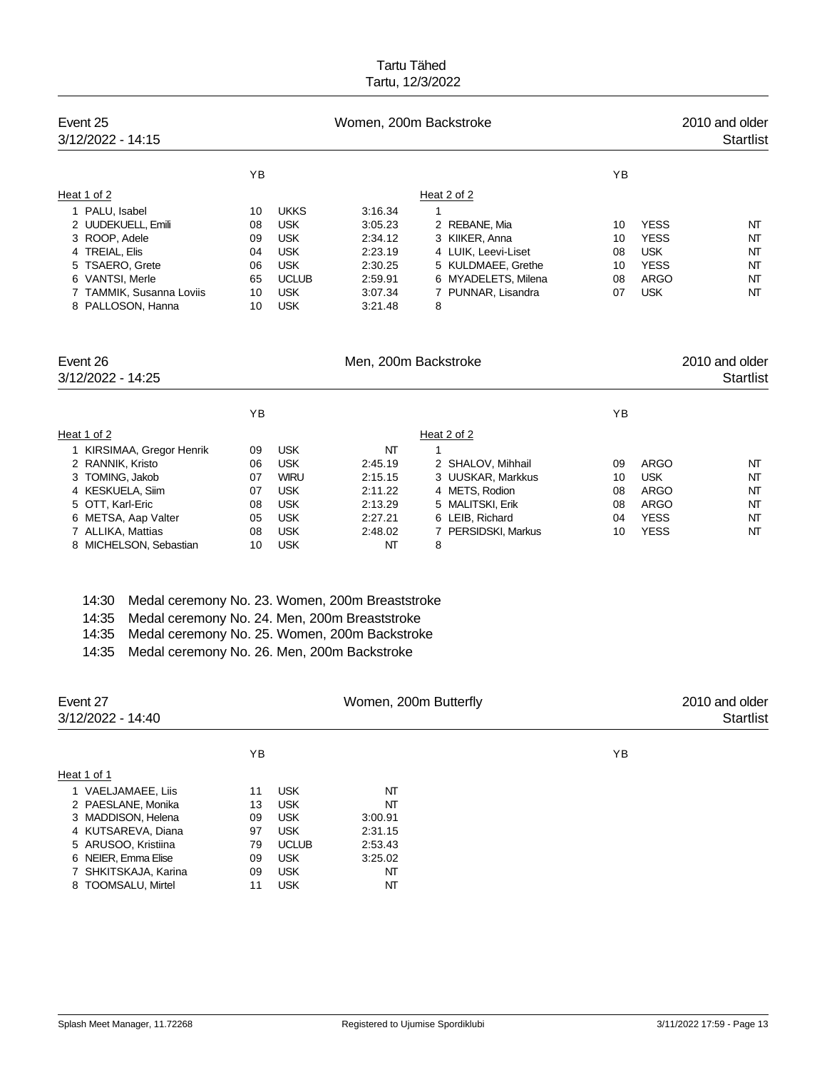| Event 25<br>3/12/2022 - 14:15                            |          |                          | Women, 200m Backstroke |                                           |          |                            | 2010 and older<br><b>Startlist</b> |
|----------------------------------------------------------|----------|--------------------------|------------------------|-------------------------------------------|----------|----------------------------|------------------------------------|
|                                                          | YB       |                          |                        |                                           | YB       |                            |                                    |
| Heat 1 of 2                                              |          |                          |                        | Heat 2 of 2                               |          |                            |                                    |
| 1 PALU, Isabel                                           | 10       | <b>UKKS</b>              | 3:16.34                | 1                                         |          |                            |                                    |
| 2 UUDEKUELL, Emili                                       | 08       | <b>USK</b>               | 3:05.23                | 2 REBANE, Mia                             | 10       | <b>YESS</b>                | NT                                 |
| 3 ROOP, Adele                                            | 09       | <b>USK</b>               | 2:34.12                | 3 KIIKER, Anna                            | 10       | <b>YESS</b>                | NT                                 |
| 4 TREIAL, Elis<br>5 TSAERO, Grete                        | 04<br>06 | <b>USK</b><br><b>USK</b> | 2:23.19<br>2:30.25     | 4 LUIK, Leevi-Liset<br>5 KULDMAEE, Grethe | 08<br>10 | <b>USK</b><br><b>YESS</b>  | NT<br>NT                           |
| 6 VANTSI, Merle                                          | 65       | <b>UCLUB</b>             | 2:59.91                | 6 MYADELETS, Milena                       | 08       | <b>ARGO</b>                | NT                                 |
| 7 TAMMIK, Susanna Loviis                                 | 10       | <b>USK</b>               | 3:07.34                | 7 PUNNAR, Lisandra                        | 07       | <b>USK</b>                 | NT                                 |
| 8 PALLOSON, Hanna                                        | 10       | <b>USK</b>               | 3:21.48                | 8                                         |          |                            |                                    |
| Event 26<br>3/12/2022 - 14:25                            |          |                          | Men, 200m Backstroke   |                                           |          |                            | 2010 and older<br><b>Startlist</b> |
|                                                          | YB       |                          |                        |                                           | YB       |                            |                                    |
| Heat 1 of 2                                              |          |                          |                        | Heat 2 of 2                               |          |                            |                                    |
| 1 KIRSIMAA, Gregor Henrik                                | 09       | <b>USK</b>               | NΤ                     | $\mathbf{1}$                              |          |                            |                                    |
| 2 RANNIK, Kristo                                         | 06       | <b>USK</b>               | 2:45.19                | 2 SHALOV, Mihhail                         | 09       | <b>ARGO</b>                | NT                                 |
| 3 TOMING, Jakob                                          | 07       | <b>WIRU</b>              | 2:15.15                | 3 UUSKAR, Markkus                         | 10       | <b>USK</b>                 | NT                                 |
| 4 KESKUELA, Siim<br>5 OTT, Karl-Eric                     | 07<br>08 | <b>USK</b><br><b>USK</b> | 2:11.22<br>2:13.29     | 4 METS, Rodion<br>5 MALITSKI, Erik        | 08<br>08 | <b>ARGO</b><br><b>ARGO</b> | NT<br>NT                           |
| 6 METSA, Aap Valter                                      | 05       | <b>USK</b>               | 2:27.21                | 6 LEIB, Richard                           | 04       | <b>YESS</b>                | NT                                 |
| 7 ALLIKA, Mattias                                        | 08       | <b>USK</b>               | 2:48.02                | 7 PERSIDSKI, Markus                       | 10       | <b>YESS</b>                | NT                                 |
| 8 MICHELSON, Sebastian                                   | 10       | <b>USK</b>               | NΤ                     | 8                                         |          |                            |                                    |
| 14:30<br>Medal ceremony No. 23. Women, 200m Breaststroke |          |                          |                        |                                           |          |                            |                                    |
| 14:35<br>Medal ceremony No. 24. Men, 200m Breaststroke   |          |                          |                        |                                           |          |                            |                                    |
| 14:35<br>Medal ceremony No. 25. Women, 200m Backstroke   |          |                          |                        |                                           |          |                            |                                    |
| 14:35<br>Medal ceremony No. 26. Men, 200m Backstroke     |          |                          |                        |                                           |          |                            |                                    |
|                                                          |          |                          |                        |                                           |          |                            |                                    |
| Event 27<br>3/12/2022 - 14:40                            |          |                          | Women, 200m Butterfly  |                                           |          |                            | 2010 and older<br><b>Startlist</b> |
|                                                          | YB       |                          |                        |                                           | ΥB       |                            |                                    |
| Heat 1 of 1                                              |          |                          |                        |                                           |          |                            |                                    |
| 1 VAELJAMAEE, Liis                                       | 11       | USK.                     | NΤ                     |                                           |          |                            |                                    |
| 2 PAESLANE, Monika                                       | 13       | <b>USK</b>               | NΤ                     |                                           |          |                            |                                    |
| 3 MADDISON, Helena<br>4 KUTSAREVA, Diana                 | 09<br>97 | <b>USK</b><br><b>USK</b> | 3:00.91<br>2:31.15     |                                           |          |                            |                                    |
| 5 ARUSOO, Kristiina                                      | 79       | <b>UCLUB</b>             | 2:53.43                |                                           |          |                            |                                    |
| 6 NEIER, Emma Elise                                      | 09       | <b>USK</b>               | 3:25.02                |                                           |          |                            |                                    |
| 7 SHKITSKAJA, Karina                                     | 09       | <b>USK</b>               | NΤ                     |                                           |          |                            |                                    |
| 8 TOOMSALU, Mirtel                                       | 11       | <b>USK</b>               | NΤ                     |                                           |          |                            |                                    |